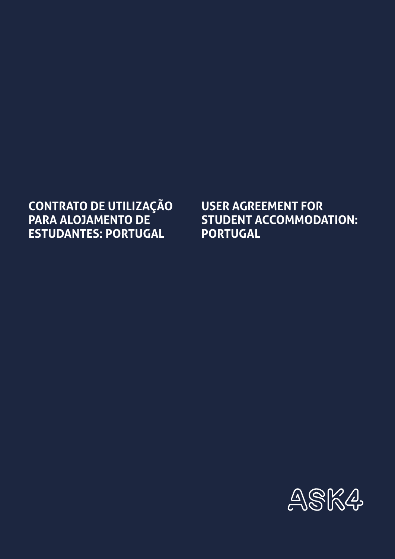## **CONTRATO DE UTILIZAÇÃO PARA ALOJAMENTO DE ESTUDANTES: PORTUGAL**

**USER AGREEMENT FOR STUDENT ACCOMMODATION: PORTUGAL**

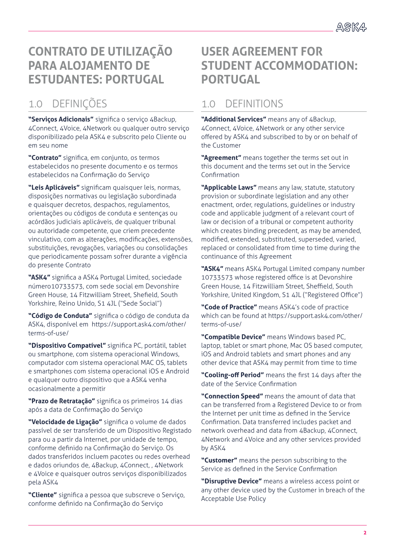## **CONTRATO DE UTILIZAÇÃO PARA ALOJAMENTO DE ESTUDANTES: PORTUGAL**

## 1.0 DEFINIÇÕES

**"Serviços Adicionais"** significa o serviço 4Backup, 4Connect, 4Voice, 4Network ou qualquer outro serviço disponibilizado pela ASK4 e subscrito pelo Cliente ou em seu nome

**"Contrato"** significa, em conjunto, os termos estabelecidos no presente documento e os termos estabelecidos na Confirmação do Serviço

**"Leis Aplicáveis"** significam quaisquer leis, normas, disposições normativas ou legislação subordinada e quaisquer decretos, despachos, regulamentos, orientações ou códigos de conduta e sentenças ou acórdãos judiciais aplicáveis, de qualquer tribunal ou autoridade competente, que criem precedente vinculativo, com as alterações, modificações, extensões, substituições, revogações, variações ou consolidações que periodicamente possam sofrer durante a vigência do presente Contrato

**"ASK4"** significa a ASK4 Portugal Limited, sociedade número10733573, com sede social em Devonshire Green House, 14 Fitzwilliam Street, Shefield, South Yorkshire, Reino Unido, S1 4JL ("Sede Social")

**"Código de Conduta"** significa o código de conduta da ASK4, disponível em https://support.ask4.com/other/ terms-of-use/

**"Dispositivo Compatível"** significa PC, portátil, tablet ou smartphone, com sistema operacional Windows, computador com sistema operacional MAC OS, tablets e smartphones com sistema operacional iOS e Android e qualquer outro dispositivo que a ASK4 venha ocasionalmente a permitir

**"Prazo de Retratação"** significa os primeiros 14 dias após a data de Confirmação do Serviço

**"Velocidade de Ligação"** significa o volume de dados passível de ser transferido de um Dispositivo Registado para ou a partir da Internet, por unidade de tempo, conforme definido na Confirmação do Serviço. Os dados transferidos incluem pacotes ou redes overhead e dados oriundos de, 4Backup, 4Connect, , 4Network e 4Voice e quaisquer outros serviços disponibilizados pela ASK4

**"Cliente"** significa a pessoa que subscreve o Serviço, conforme definido na Confirmação do Serviço

## **USER AGREEMENT FOR STUDENT ACCOMMODATION: PORTUGAL**

## 1.0 DEFINITIONS

**"Additional Services"** means any of 4Backup, 4Connect, 4Voice, 4Network or any other service offered by ASK4 and subscribed to by or on behalf of the Customer

**"Agreement"** means together the terms set out in this document and the terms set out in the Service Confirmation

**"Applicable Laws"** means any law, statute, statutory provision or subordinate legislation and any other enactment, order, regulations, guidelines or industry code and applicable judgment of a relevant court of law or decision of a tribunal or competent authority which creates binding precedent, as may be amended, modified, extended, substituted, superseded, varied, replaced or consolidated from time to time during the continuance of this Agreement

**"ASK4"** means ASK4 Portugal Limited company number 10733573 whose registered office is at Devonshire Green House, 14 Fitzwilliam Street, Sheffield, South Yorkshire, United Kingdom, S1 4JL ("Registered Office")

**"Code of Practice"** means ASK4's code of practice which can be found at https://support.ask4.com/other/ terms-of-use/

**"Compatible Device"** means Windows based PC, laptop, tablet or smart phone, Mac OS based computer, iOS and Android tablets and smart phones and any other device that ASK4 may permit from time to time

**"Cooling-off Period"** means the first 14 days after the date of the Service Confirmation

**"Connection Speed"** means the amount of data that can be transferred from a Registered Device to or from the Internet per unit time as defined in the Service Confirmation. Data transferred includes packet and network overhead and data from 4Backup, 4Connect, 4Network and 4Voice and any other services provided by ASK4

**"Customer"** means the person subscribing to the Service as defined in the Service Confirmation

**"Disruptive Device"** means a wireless access point or any other device used by the Customer in breach of the Acceptable Use Policy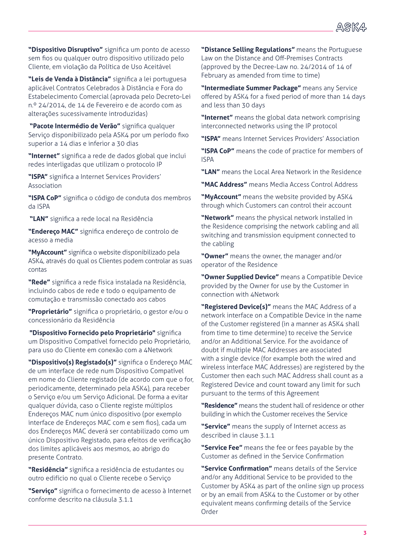**"Dispositivo Disruptivo"** significa um ponto de acesso sem fios ou qualquer outro dispositivo utilizado pelo Cliente, em violação da Política de Uso Aceitável

**"Leis de Venda à Distância"** significa a lei portuguesa aplicável Contratos Celebrados à Distância e Fora do Estabelecimento Comercial (aprovada pelo Decreto-Lei n.º 24/2014, de 14 de Fevereiro e de acordo com as alterações sucessivamente introduzidas)

 **"Pacote Intermédio de Verão"** significa qualquer Serviço disponibilizado pela ASK4 por um período fixo superior a 14 dias e inferior a 30 dias

**"Internet"** significa a rede de dados global que inclui redes interligadas que utilizam o protocolo IP

**"ISPA"** significa a Internet Services Providers' Association

**"ISPA CoP"** significa o código de conduta dos membros da ISPA

 **"LAN"** significa a rede local na Residência

**"Endereço MAC"** significa endereço de controlo de acesso a media

**"MyAccount"** significa o website disponibilizado pela ASK4, através do qual os Clientes podem controlar as suas contas

**"Rede"** significa a rede física instalada na Residência, incluindo cabos de rede e todo o equipamento de comutação e transmissão conectado aos cabos

**"Proprietário"** significa o proprietário, o gestor e/ou o concessionário da Residência

 **"Dispositivo Fornecido pelo Proprietário"** significa um Dispositivo Compatível fornecido pelo Proprietário, para uso do Cliente em conexão com a 4Network

**"Dispositivo(s) Registado(s)"** significa o Endereço MAC de um interface de rede num Dispositivo Compatível em nome do Cliente registado (de acordo com que o for, periodicamente, determinado pela ASK4), para receber o Serviço e/ou um Serviço Adicional. De forma a evitar qualquer dúvida, caso o Cliente registe múltiplos Endereços MAC num único dispositivo (por exemplo interface de Endereços MAC com e sem fios), cada um dos Endereços MAC deverá ser contabilizado como um único Dispositivo Registado, para efeitos de verificação dos limites aplicáveis aos mesmos, ao abrigo do presente Contrato.

**"Residência"** significa a residência de estudantes ou outro edifício no qual o Cliente recebe o Serviço

**"Serviço"** significa o fornecimento de acesso à Internet conforme descrito na cláusula 3.1.1

**"Distance Selling Regulations"** means the Portuguese Law on the Distance and Off-Premises Contracts (approved by the Decree-Law no. 24/2014 of 14 of February as amended from time to time)

**"Intermediate Summer Package"** means any Service offered by ASK4 for a fixed period of more than 14 days and less than 30 days

**"Internet"** means the global data network comprising interconnected networks using the IP protocol

**"ISPA"** means Internet Services Providers' Association

**"ISPA CoP"** means the code of practice for members of ISPA

**"LAN"** means the Local Area Network in the Residence

**"MAC Address"** means Media Access Control Address

**"MyAccount"** means the website provided by ASK4 through which Customers can control their account

**"Network"** means the physical network installed in the Residence comprising the network cabling and all switching and transmission equipment connected to the cabling

**"Owner"** means the owner, the manager and/or operator of the Residence

**"Owner Supplied Device"** means a Compatible Device provided by the Owner for use by the Customer in connection with 4Network

**"Registered Device(s)"** means the MAC Address of a network interface on a Compatible Device in the name of the Customer registered (in a manner as ASK4 shall from time to time determine) to receive the Service and/or an Additional Service. For the avoidance of doubt if multiple MAC Addresses are associated with a single device (for example both the wired and wireless interface MAC Addresses) are registered by the Customer then each such MAC Address shall count as a Registered Device and count toward any limit for such pursuant to the terms of this Agreement

**"Residence"** means the student hall of residence or other building in which the Customer receives the Service

**"Service"** means the supply of Internet access as described in clause 3.1.1

**"Service Fee"** means the fee or fees payable by the Customer as defined in the Service Confirmation

**"Service Confirmation"** means details of the Service and/or any Additional Service to be provided to the Customer by ASK4 as part of the online sign up process or by an email from ASK4 to the Customer or by other equivalent means confirming details of the Service Order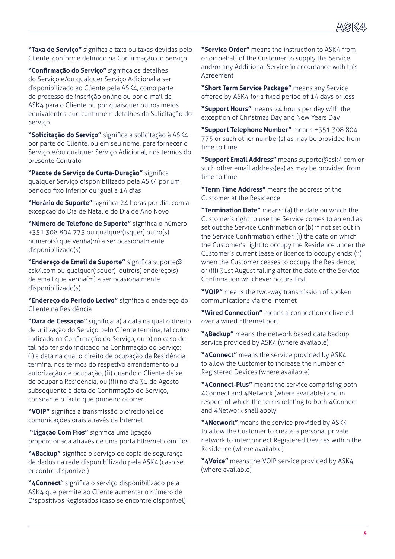

**"Taxa de Serviço"** significa a taxa ou taxas devidas pelo Cliente, conforme definido na Confirmação do Serviço

**"Confirmação do Serviço"** significa os detalhes do Serviço e/ou qualquer Serviço Adicional a ser disponibilizado ao Cliente pela ASK4, como parte do processo de inscrição online ou por e-mail da ASK4 para o Cliente ou por quaisquer outros meios equivalentes que confirmem detalhes da Solicitação do Serviço

**"Solicitação do Serviço"** significa a solicitação à ASK4 por parte do Cliente, ou em seu nome, para fornecer o Serviço e/ou qualquer Serviço Adicional, nos termos do presente Contrato

**"Pacote de Serviço de Curta-Duração"** significa qualquer Serviço disponibilizado pela ASK4 por um período fixo inferior ou igual a 14 dias

**"Horário de Suporte"** significa 24 horas por dia, com a excepção do Dia de Natal e do Dia de Ano Novo

**"Número de Telefone de Suporte"** significa o número +351 308 804 775 ou qualquer(isquer) outro(s) número(s) que venha(m) a ser ocasionalmente disponibilizado(s)

**"Endereço de Email de Suporte"** significa suporte@ ask4.com ou qualquer(isquer) outro(s) endereço(s) de email que venha(m) a ser ocasionalmente disponibilizado(s).

**"Endereço do Período Letivo"** significa o endereço do Cliente na Residência

**"Data de Cessação"** significa: a) a data na qual o direito de utilização do Serviço pelo Cliente termina, tal como indicado na Confirmação do Serviço, ou b) no caso de tal não ter sido indicado na Confirmação do Serviço: (i) a data na qual o direito de ocupação da Residência termina, nos termos do respetivo arrendamento ou autorização de ocupação, (ii) quando o Cliente deixe de ocupar a Residência, ou (iii) no dia 31 de Agosto subsequente à data de Confirmação do Serviço, consoante o facto que primeiro ocorrer.

**"VOIP"** significa a transmissão bidirecional de comunicações orais através da Internet

 **"Ligação Com Fios"** significa uma ligação proporcionada através de uma porta Ethernet com fios

**"4Backup"** significa o serviço de cópia de segurança de dados na rede disponibilizado pela ASK4 (caso se encontre disponível)

**"4Connect**" significa o serviço disponibilizado pela ASK4 que permite ao Cliente aumentar o número de Dispositivos Registados (caso se encontre disponível)

**"Service Order"** means the instruction to ASK4 from or on behalf of the Customer to supply the Service and/or any Additional Service in accordance with this Agreement

**"Short Term Service Package"** means any Service offered by ASK4 for a fixed period of 14 days or less

**"Support Hours"** means 24 hours per day with the exception of Christmas Day and New Years Day

**"Support Telephone Number"** means +351 308 804 775 or such other number(s) as may be provided from time to time

**"Support Email Address"** means suporte@ask4.com or such other email address(es) as may be provided from time to time

**"Term Time Address"** means the address of the Customer at the Residence

**"Termination Date"** means: (a) the date on which the Customer's right to use the Service comes to an end as set out the Service Confirmation or (b) if not set out in the Service Confirmation either: (i) the date on which the Customer's right to occupy the Residence under the Customer's current lease or licence to occupy ends; (ii) when the Customer ceases to occupy the Residence; or (iii) 31st August falling after the date of the Service Confirmation whichever occurs first

**"VOIP"** means the two-way transmission of spoken communications via the Internet

**"Wired Connection"** means a connection delivered over a wired Ethernet port

**"4Backup"** means the network based data backup service provided by ASK4 (where available)

**"4Connect"** means the service provided by ASK4 to allow the Customer to increase the number of Registered Devices (where available)

**"4Connect-Plus"** means the service comprising both 4Connect and 4Network (where available) and in respect of which the terms relating to both 4Connect and 4Network shall apply

**"4Network"** means the service provided by ASK4 to allow the Customer to create a personal private network to interconnect Registered Devices within the Residence (where available)

**"4Voice"** means the VOIP service provided by ASK4 (where available)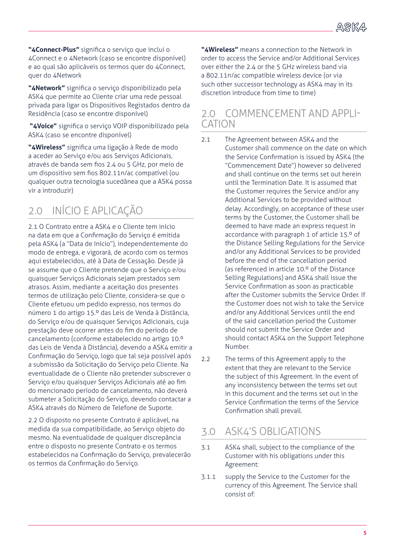**"4Connect-Plus"** significa o serviço que inclui o 4Connect e o 4Network (caso se encontre disponível) e ao qual são aplicáveis os termos quer do 4Connect, quer do 4Network

**"4Network"** significa o serviço disponibilizado pela ASK4 que permite ao Cliente criar uma rede pessoal privada para ligar os Dispositivos Registados dentro da Residência (caso se encontre disponível)

 **"4Voice"** significa o serviço VOIP disponibilizado pela ASK4 (caso se encontre disponível)

**"4Wireless"** significa uma ligação à Rede de modo a aceder ao Serviço e/ou aos Serviços Adicionais, através de banda sem fios 2.4 ou 5 GHz, por meio de um dispositivo sem fios 802.11n/ac compatível (ou qualquer outra tecnologia sucedânea que a ASK4 possa vir a introduzir)

# 2.0 INÍCIO E APLICAÇÃO

2.1 O Contrato entre a ASK4 e o Cliente tem início na data em que a Confirmação do Serviço é emitida pela ASK4 (a "Data de Início"), independentemente do modo de entrega, e vigorará, de acordo com os termos aqui estabelecidos, até à Data de Cessação. Desde já se assume que o Cliente pretende que o Serviço e/ou quaisquer Serviços Adicionais sejam prestados sem atrasos. Assim, mediante a aceitação dos presentes termos de utilização pelo Cliente, considera-se que o Cliente efetuou um pedido expresso, nos termos do número 1 do artigo 15.º das Leis de Venda à Distância, do Serviço e/ou de quaisquer Serviços Adicionais, cuja prestação deve ocorrer antes do fim do período de cancelamento (conforme estabelecido no artigo 10.º das Leis de Venda à Distância), devendo a ASK4 emitir a Confirmação do Serviço, logo que tal seja possível após a submissão da Solicitação do Serviço pelo Cliente. Na eventualidade de o Cliente não pretender subscrever o Serviço e/ou quaisquer Serviços Adicionais até ao fim do mencionado período de cancelamento, não deverá submeter a Solicitação do Serviço, devendo contactar a ASK4 através do Número de Telefone de Suporte.

2.2 O disposto no presente Contrato é aplicável, na medida da sua compatibilidade, ao Serviço objeto do mesmo. Na eventualidade de qualquer discrepância entre o disposto no presente Contrato e os termos estabelecidos na Confirmação do Serviço, prevalecerão os termos da Confirmação do Serviço.

**"4Wireless"** means a connection to the Network in order to access the Service and/or Additional Services over either the 2.4 or the 5 GHz wireless band via a 802.11n/ac compatible wireless device (or via such other successor technology as ASK4 may in its discretion introduce from time to time)

#### 2.0 COMMENCEMENT AND APPLI-CATION

- 2.1 The Agreement between ASK4 and the Customer shall commence on the date on which the Service Confirmation is issued by ASK4 (the "Commencement Date") however so delivered and shall continue on the terms set out herein until the Termination Date. It is assumed that the Customer requires the Service and/or any Additional Services to be provided without delay. Accordingly, on acceptance of these user terms by the Customer, the Customer shall be deemed to have made an express request in accordance with paragraph 1 of article 15.º of the Distance Selling Regulations for the Service and/or any Additional Services to be provided before the end of the cancellation period (as referenced in article 10.º of the Distance Selling Regulations) and ASK4 shall issue the Service Confirmation as soon as practicable after the Customer submits the Service Order. If the Customer does not wish to take the Service and/or any Additional Services until the end of the said cancellation period the Customer should not submit the Service Order and should contact ASK4 on the Support Telephone Number.
- 2.2 The terms of this Agreement apply to the extent that they are relevant to the Service the subject of this Agreement. In the event of any inconsistency between the terms set out in this document and the terms set out in the Service Confirmation the terms of the Service Confirmation shall prevail.

### 3.0 ASK4'S OBLIGATIONS

- 3.1 ASK4 shall, subject to the compliance of the Customer with his obligations under this Agreement:
- 3.1.1 supply the Service to the Customer for the currency of this Agreement. The Service shall consist of: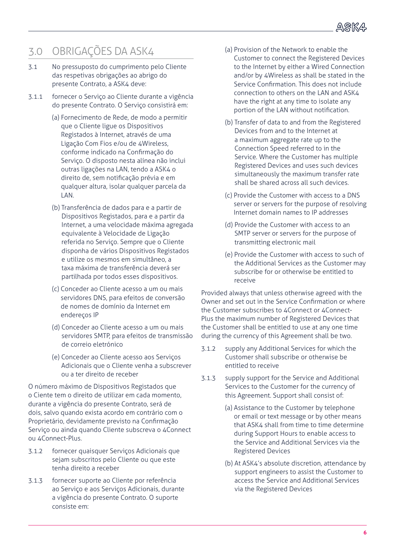

## 3.0 OBRIGAÇÕES DA ASK4

- 3.1 No pressuposto do cumprimento pelo Cliente das respetivas obrigações ao abrigo do presente Contrato, a ASK4 deve:
- 3.1.1 fornecer o Serviço ao Cliente durante a vigência do presente Contrato. O Serviço consistirá em:
	- (a) Fornecimento de Rede, de modo a permitir que o Cliente ligue os Dispositivos Registados à Internet, através de uma Ligação Com Fios e/ou de 4Wireless, conforme indicado na Confirmação do Serviço. O disposto nesta alínea não inclui outras ligações na LAN, tendo a ASK4 o direito de, sem notificação prévia e em qualquer altura, isolar qualquer parcela da LAN.
	- (b) Transferência de dados para e a partir de Dispositivos Registados, para e a partir da Internet, a uma velocidade máxima agregada equivalente à Velocidade de Ligação referida no Serviço. Sempre que o Cliente disponha de vários Dispositivos Registados e utilize os mesmos em simultâneo, a taxa máxima de transferência deverá ser partilhada por todos esses dispositivos.
	- (c) Conceder ao Cliente acesso a um ou mais servidores DNS, para efeitos de conversão de nomes de domínio da Internet em endereços IP
	- (d) Conceder ao Cliente acesso a um ou mais servidores SMTP, para efeitos de transmissão de correio eletrónico
	- (e) Conceder ao Cliente acesso aos Serviços Adicionais que o Cliente venha a subscrever ou a ter direito de receber

O número máximo de Dispositivos Registados que o Ciente tem o direito de utilizar em cada momento, durante a vigência do presente Contrato, será de dois, salvo quando exista acordo em contrário com o Proprietário, devidamente previsto na Confirmação Serviço ou ainda quando Cliente subscreva o 4Connect ou 4Connect-Plus.

- 3.1.2 fornecer quaisquer Serviços Adicionais que sejam subscritos pelo Cliente ou que este tenha direito a receber
- 3.1.3 fornecer suporte ao Cliente por referência ao Serviço e aos Serviços Adicionais, durante a vigência do presente Contrato. O suporte consiste em:
- (a) Provision of the Network to enable the Customer to connect the Registered Devices to the Internet by either a Wired Connection and/or by 4Wireless as shall be stated in the Service Confirmation. This does not include connection to others on the LAN and ASK4 have the right at any time to isolate any portion of the LAN without notification.
- (b) Transfer of data to and from the Registered Devices from and to the Internet at a maximum aggregate rate up to the Connection Speed referred to in the Service. Where the Customer has multiple Registered Devices and uses such devices simultaneously the maximum transfer rate shall be shared across all such devices.
- (c) Provide the Customer with access to a DNS server or servers for the purpose of resolving Internet domain names to IP addresses
- (d) Provide the Customer with access to an SMTP server or servers for the purpose of transmitting electronic mail
- (e) Provide the Customer with access to such of the Additional Services as the Customer may subscribe for or otherwise be entitled to receive

Provided always that unless otherwise agreed with the Owner and set out in the Service Confirmation or where the Customer subscribes to 4Connect or 4Connect-Plus the maximum number of Registered Devices that the Customer shall be entitled to use at any one time during the currency of this Agreement shall be two.

- 3.1.2 supply any Additional Services for which the Customer shall subscribe or otherwise be entitled to receive
- 3.1.3 supply support for the Service and Additional Services to the Customer for the currency of this Agreement. Support shall consist of:
	- (a) Assistance to the Customer by telephone or email or text message or by other means that ASK4 shall from time to time determine during Support Hours to enable access to the Service and Additional Services via the Registered Devices
	- (b) At ASK4's absolute discretion, attendance by support engineers to assist the Customer to access the Service and Additional Services via the Registered Devices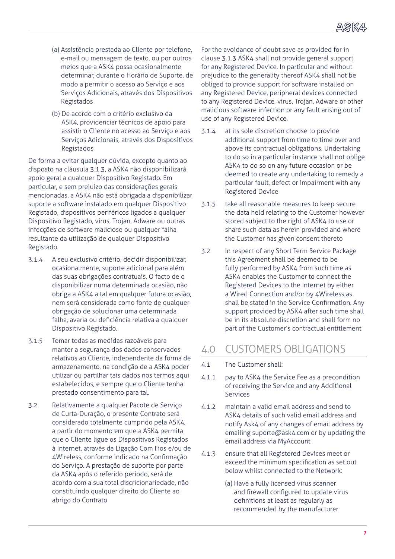- (a) Assistência prestada ao Cliente por telefone, e-mail ou mensagem de texto, ou por outros meios que a ASK4 possa ocasionalmente determinar, durante o Horário de Suporte, de modo a permitir o acesso ao Serviço e aos Serviços Adicionais, através dos Dispositivos Registados
- (b) De acordo com o critério exclusivo da ASK4, providenciar técnicos de apoio para assistir o Cliente no acesso ao Serviço e aos Serviços Adicionais, através dos Dispositivos Registados

De forma a evitar qualquer dúvida, excepto quanto ao disposto na cláusula 3.1.3, a ASK4 não disponibilizará apoio geral a qualquer Dispositivo Registado. Em particular, e sem prejuízo das considerações gerais mencionadas, a ASK4 não está obrigada a disponibilizar suporte a software instalado em qualquer Dispositivo Registado, dispositivos periféricos ligados a qualquer Dispositivo Registado, vírus, Trojan, Adware ou outras infecções de software malicioso ou qualquer falha resultante da utilização de qualquer Dispositivo Registado.

- 3.1.4 A seu exclusivo critério, decidir disponibilizar, ocasionalmente, suporte adicional para além das suas obrigações contratuais. O facto de o disponibilizar numa determinada ocasião, não obriga a ASK4 a tal em qualquer futura ocasião, nem será considerada como fonte de qualquer obrigação de solucionar uma determinada falha, avaria ou deficiência relativa a qualquer Dispositivo Registado.
- 3.1.5 Tomar todas as medidas razoáveis para manter a segurança dos dados conservados relativos ao Cliente, independente da forma de armazenamento, na condição de a ASK4 poder utilizar ou partilhar tais dados nos termos aqui estabelecidos, e sempre que o Cliente tenha prestado consentimento para tal.
- 3.2 Relativamente a qualquer Pacote de Serviço de Curta-Duração, o presente Contrato será considerado totalmente cumprido pela ASK4, a partir do momento em que a ASK4 permita que o Cliente ligue os Dispositivos Registados à Internet, através da Ligação Com Fios e/ou de 4Wireless, conforme indicado na Confirmação do Serviço. A prestação de suporte por parte da ASK4 após o referido período, será de acordo com a sua total discricionariedade, não constituindo qualquer direito do Cliente ao abrigo do Contrato

For the avoidance of doubt save as provided for in clause 3.1.3 ASK4 shall not provide general support for any Registered Device. In particular and without prejudice to the generality thereof ASK4 shall not be obliged to provide support for software installed on any Registered Device, peripheral devices connected to any Registered Device, virus, Trojan, Adware or other malicious software infection or any fault arising out of use of any Registered Device.

- 3.1.4 at its sole discretion choose to provide additional support from time to time over and above its contractual obligations. Undertaking to do so in a particular instance shall not oblige ASK4 to do so on any future occasion or be deemed to create any undertaking to remedy a particular fault, defect or impairment with any Registered Device
- 3.1.5 take all reasonable measures to keep secure the data held relating to the Customer however stored subject to the right of ASK4 to use or share such data as herein provided and where the Customer has given consent thereto
- 3.2 In respect of any Short Term Service Package this Agreement shall be deemed to be fully performed by ASK4 from such time as ASK4 enables the Customer to connect the Registered Devices to the Internet by either a Wired Connection and/or by 4Wireless as shall be stated in the Service Confirmation. Any support provided by ASK4 after such time shall be in its absolute discretion and shall form no part of the Customer's contractual entitlement

#### 4.0 CUSTOMERS OBLIGATIONS

- 4.1 The Customer shall:
- 4.1.1 pay to ASK4 the Service Fee as a precondition of receiving the Service and any Additional Services
- 4.1.2 maintain a valid email address and send to ASK4 details of such valid email address and notify Ask4 of any changes of email address by emailing suporte@ask4.com or by updating the email address via MyAccount
- 4.1.3 ensure that all Registered Devices meet or exceed the minimum specification as set out below whilst connected to the Network:
	- (a) Have a fully licensed virus scanner and firewall configured to update virus definitions at least as regularly as recommended by the manufacturer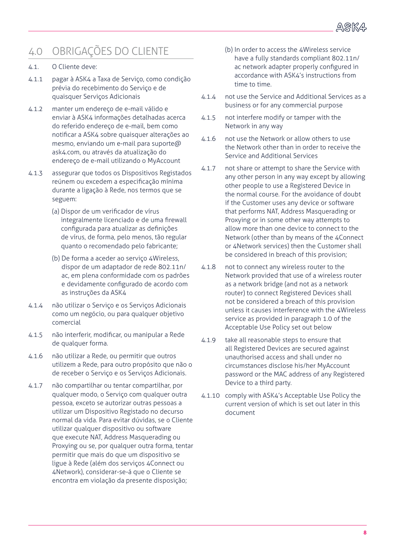

## 4.0 OBRIGAÇÕES DO CLIENTE

#### 4.1. O Cliente deve:

- 4.1.1 pagar à ASK4 a Taxa de Serviço, como condição prévia do recebimento do Serviço e de quaisquer Serviços Adicionais
- 4.1.2 manter um endereço de e-mail válido e enviar à ASK4 informações detalhadas acerca do referido endereço de e-mail, bem como notificar a ASK4 sobre quaisquer alterações ao mesmo, enviando um e-mail para suporte@ ask4.com, ou através da atualização do endereço de e-mail utilizando o MyAccount
- 4.1.3 assegurar que todos os Dispositivos Registados reúnem ou excedem a especificação mínima durante a ligação à Rede, nos termos que se seguem:
	- (a) Dispor de um verificador de vírus integralmente licenciado e de uma firewall configurada para atualizar as definições de vírus, de forma, pelo menos, tão regular quanto o recomendado pelo fabricante;
	- (b) De forma a aceder ao serviço 4Wireless, dispor de um adaptador de rede 802.11n/ ac, em plena conformidade com os padrões e devidamente configurado de acordo com as instruções da ASK4
- 4.1.4 não utilizar o Serviço e os Serviços Adicionais como um negócio, ou para qualquer objetivo comercial
- 4.1.5 não interferir, modificar, ou manipular a Rede de qualquer forma.
- 4.1.6 não utilizar a Rede, ou permitir que outros utilizem a Rede, para outro propósito que não o de receber o Serviço e os Serviços Adicionais.
- 4.1.7 não compartilhar ou tentar compartilhar, por qualquer modo, o Serviço com qualquer outra pessoa, exceto se autorizar outras pessoas a utilizar um Dispositivo Registado no decurso normal da vida. Para evitar dúvidas, se o Cliente utilizar qualquer dispositivo ou software que execute NAT, Address Masquerading ou Proxying ou se, por qualquer outra forma, tentar permitir que mais do que um dispositivo se ligue à Rede (além dos serviços 4Connect ou 4Network), considerar-se-á que o Cliente se encontra em violação da presente disposição;
- (b) In order to access the 4Wireless service have a fully standards compliant 802.11n/ ac network adapter properly configured in accordance with ASK4's instructions from time to time.
- 4.1.4 not use the Service and Additional Services as a business or for any commercial purpose
- 4.1.5 not interfere modify or tamper with the Network in any way
- 4.1.6 not use the Network or allow others to use the Network other than in order to receive the Service and Additional Services
- 4.1.7 not share or attempt to share the Service with any other person in any way except by allowing other people to use a Registered Device in the normal course. For the avoidance of doubt if the Customer uses any device or software that performs NAT, Address Masquerading or Proxying or in some other way attempts to allow more than one device to connect to the Network (other than by means of the 4Connect or 4Network services) then the Customer shall be considered in breach of this provision;
- 4.1.8 not to connect any wireless router to the Network provided that use of a wireless router as a network bridge (and not as a network router) to connect Registered Devices shall not be considered a breach of this provision unless it causes interference with the 4Wireless service as provided in paragraph 1.0 of the Acceptable Use Policy set out below
- 4.1.9 take all reasonable steps to ensure that all Registered Devices are secured against unauthorised access and shall under no circumstances disclose his/her MyAccount password or the MAC address of any Registered Device to a third party.
- 4.1.10 comply with ASK4's Acceptable Use Policy the current version of which is set out later in this document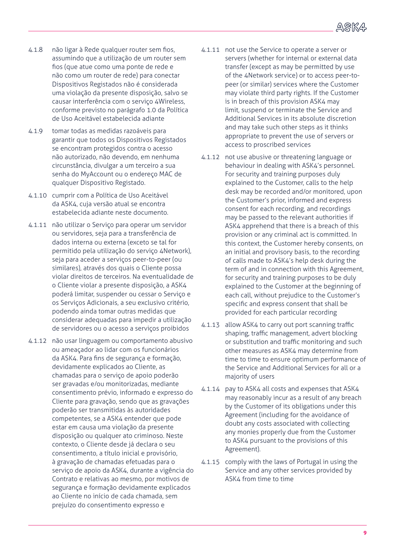

- 4.1.8 não ligar à Rede qualquer router sem fios, assumindo que a utilização de um router sem fios (que atue como uma ponte de rede e não como um router de rede) para conectar Dispositivos Registados não é considerada uma violação da presente disposição, salvo se causar interferência com o serviço 4Wireless, conforme previsto no parágrafo 1.0 da Política de Uso Aceitável estabelecida adiante
- 4.1.9 tomar todas as medidas razoáveis para garantir que todos os Dispositivos Registados se encontram protegidos contra o acesso não autorizado, não devendo, em nenhuma circunstância, divulgar a um terceiro a sua senha do MyAccount ou o endereço MAC de qualquer Dispositivo Registado.
- 4.1.10 cumprir com a Política de Uso Aceitável da ASK4, cuja versão atual se encontra estabelecida adiante neste documento.
- 4.1.11 não utilizar o Serviço para operar um servidor ou servidores, seja para a transferência de dados interna ou externa (exceto se tal for permitido pela utilização do serviço 4Network), seja para aceder a serviços peer-to-peer (ou similares), através dos quais o Cliente possa violar direitos de terceiros. Na eventualidade de o Cliente violar a presente disposição, a ASK4 poderá limitar, suspender ou cessar o Serviço e os Serviços Adicionais, a seu exclusivo critério, podendo ainda tomar outras medidas que considerar adequadas para impedir a utilização de servidores ou o acesso a serviços proibidos
- 4.1.12 não usar linguagem ou comportamento abusivo ou ameaçador ao lidar com os funcionários da ASK4. Para fins de segurança e formação, devidamente explicados ao Cliente, as chamadas para o serviço de apoio poderão ser gravadas e/ou monitorizadas, mediante consentimento prévio, informado e expresso do Cliente para gravação, sendo que as gravações poderão ser transmitidas às autoridades competentes, se a ASK4 entender que pode estar em causa uma violação da presente disposição ou qualquer ato criminoso. Neste contexto, o Cliente desde já declara o seu consentimento, a título inicial e provisório, à gravação de chamadas efetuadas para o serviço de apoio da ASK4, durante a vigência do Contrato e relativas ao mesmo, por motivos de segurança e formação devidamente explicados ao Cliente no início de cada chamada, sem prejuízo do consentimento expresso e
- 4.1.11 not use the Service to operate a server or servers (whether for internal or external data transfer (except as may be permitted by use of the 4Network service) or to access peer-topeer (or similar) services where the Customer may violate third party rights. If the Customer is in breach of this provision ASK4 may limit, suspend or terminate the Service and Additional Services in its absolute discretion and may take such other steps as it thinks appropriate to prevent the use of servers or access to proscribed services
- 4.1.12 not use abusive or threatening language or behaviour in dealing with ASK4's personnel. For security and training purposes duly explained to the Customer, calls to the help desk may be recorded and/or monitored, upon the Customer's prior, informed and express consent for each recording, and recordings may be passed to the relevant authorities if ASK4 apprehend that there is a breach of this provision or any criminal act is committed. In this context, the Customer hereby consents, on an initial and provisory basis, to the recording of calls made to ASK4's help desk during the term of and in connection with this Agreement, for security and training purposes to be duly explained to the Customer at the beginning of each call, without prejudice to the Customer's specific and express consent that shall be provided for each particular recording
- 4.1.13 allow ASK4 to carry out port scanning traffic shaping, traffic management, advert blocking or substitution and traffic monitoring and such other measures as ASK4 may determine from time to time to ensure optimum performance of the Service and Additional Services for all or a majority of users
- 4.1.14 pay to ASK4 all costs and expenses that ASK4 may reasonably incur as a result of any breach by the Customer of its obligations under this Agreement (including for the avoidance of doubt any costs associated with collecting any monies properly due from the Customer to ASK4 pursuant to the provisions of this Agreement).
- 4.1.15 comply with the laws of Portugal in using the Service and any other services provided by ASK4 from time to time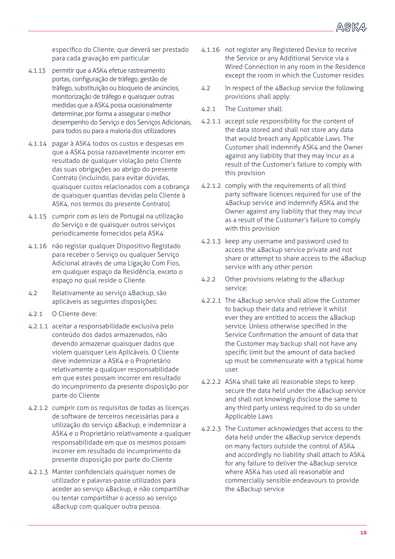

específico do Cliente, que deverá ser prestado para cada gravação em particular

- 4.1.13 permitir que a ASK4 efetue rastreamento portas, configuração de tráfego, gestão de tráfego, substituição ou bloqueio de anúncios, monitorização de tráfego e quaisquer outras medidas que a ASK4 possa ocasionalmente determinar, por forma a assegurar o melhor desempenho do Serviço e dos Serviços Adicionais, para todos ou para a maioria dos utilizadores
- 4.1.14 pagar à ASK4 todos os custos e despesas em que a ASK4 possa razoavelmente incorrer em resultado de qualquer violação pelo Cliente das suas obrigações ao abrigo do presente Contrato (incluindo, para evitar dúvidas, quaisquer custos relacionados com a cobrança de quaisquer quantias devidas pelo Cliente à ASK4, nos termos do presente Contrato).
- 4.1.15 cumprir com as leis de Portugal na utilização do Serviço e de quaisquer outros serviços periodicamente fornecidos pela ASK4
- 4.1.16 não registar qualquer Dispositivo Registado para receber o Serviço ou qualquer Serviço Adicional através de uma Ligação Com Fios, em qualquer espaço da Residência, exceto o espaço no qual reside o Cliente.
- 4.2 Relativamente ao serviço 4Backup, são aplicáveis as seguintes disposições:
- 4.2.1 O Cliente deve:
- 4.2.1.1 aceitar a responsabilidade exclusiva pelo conteúdo dos dados armazenados, não devendo armazenar quaisquer dados que violem quaisquer Leis Aplicáveis. O Cliente deve indemnizar a ASK4 e o Proprietário relativamente a qualquer responsabilidade em que estes possam incorrer em resultado do incumprimento da presente disposição por parte do Cliente
- 4.2.1.2 cumprir com os requisitos de todas as licenças de software de terceiros necessárias para a utilização do serviço 4Backup, e indemnizar a ASK4 e o Proprietário relativamente a qualquer responsabilidade em que os mesmos possam incorrer em resultado do incumprimento da presente disposição por parte do Cliente
- 4.2.1.3 Manter confidenciais quaisquer nomes de utilizador e palavras-passe utilizados para aceder ao serviço 4Backup, e não compartilhar ou tentar compartilhar o acesso ao serviço 4Backup com qualquer outra pessoa.
- 4.1.16 not register any Registered Device to receive the Service or any Additional Service via a Wired Connection in any room in the Residence except the room in which the Customer resides
- 4.2 In respect of the 4Backup service the following provisions shall apply:
- 4.2.1 The Customer shall:
- 4.2.1.1 accept sole responsibility for the content of the data stored and shall not store any data that would breach any Applicable Laws. The Customer shall indemnify ASK4 and the Owner against any liability that they may incur as a result of the Customer's failure to comply with this provision
- 4.2.1.2 comply with the requirements of all third party software licences required for use of the 4Backup service and indemnify ASK4 and the Owner against any liability that they may incur as a result of the Customer's failure to comply with this provision
- 4.2.1.3 keep any username and password used to access the 4Backup service private and not share or attempt to share access to the 4Backup service with any other person
- 4.2.2 Other provisions relating to the 4Backup service:
- 4.2.2.1 The 4Backup service shall allow the Customer to backup their data and retrieve it whilst ever they are entitled to access the 4Backup service. Unless otherwise specified in the Service Confirmation the amount of data that the Customer may backup shall not have any specific limit but the amount of data backed up must be commensurate with a typical home user.
- 4.2.2.2 ASK4 shall take all reasonable steps to keep secure the data held under the 4Backup service and shall not knowingly disclose the same to any third party unless required to do so under Applicable Laws
- 4.2.2.3 The Customer acknowledges that access to the data held under the 4Backup service depends on many factors outside the control of ASK4 and accordingly no liability shall attach to ASK4 for any failure to deliver the 4Backup service where ASK4 has used all reasonable and commercially sensible endeavours to provide the 4Backup service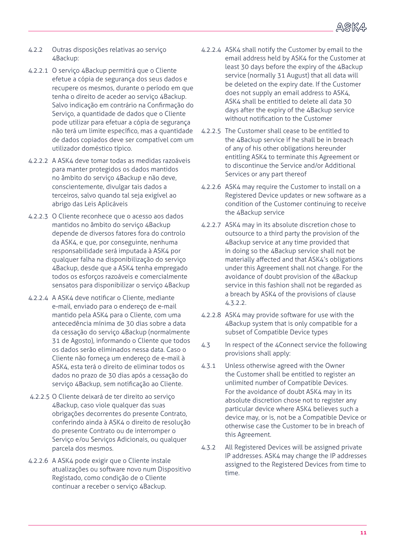

- 4.2.2 Outras disposições relativas ao serviço 4Backup:
- 4.2.2.1 O serviço 4Backup permitirá que o Cliente efetue a cópia de segurança dos seus dados e recupere os mesmos, durante o período em que tenha o direito de aceder ao serviço 4Backup. Salvo indicação em contrário na Confirmação do Serviço, a quantidade de dados que o Cliente pode utilizar para efetuar a cópia de segurança não terá um limite específico, mas a quantidade de dados copiados deve ser compatível com um utilizador doméstico típico.
- 4.2.2.2 A ASK4 deve tomar todas as medidas razoáveis para manter protegidos os dados mantidos no âmbito do serviço 4Backup e não deve, conscientemente, divulgar tais dados a terceiros, salvo quando tal seja exigível ao abrigo das Leis Aplicáveis
- 4.2.2.3 O Cliente reconhece que o acesso aos dados mantidos no âmbito do serviço 4Backup depende de diversos fatores fora do controlo da ASK4, e que, por conseguinte, nenhuma responsabilidade será imputada à ASK4 por qualquer falha na disponibilização do serviço 4Backup, desde que a ASK4 tenha empregado todos os esforços razoáveis e comercialmente sensatos para disponibilizar o serviço 4Backup
- 4.2.2.4 A ASK4 deve notificar o Cliente, mediante e-mail, enviado para o endereço de e-mail mantido pela ASK4 para o Cliente, com uma antecedência mínima de 30 dias sobre a data da cessação do serviço 4Backup (normalmente 31 de Agosto), informando o Cliente que todos os dados serão eliminados nessa data. Caso o Cliente não forneça um endereço de e-mail à ASK4, esta terá o direito de eliminar todos os dados no prazo de 30 dias após a cessação do serviço 4Backup, sem notificação ao Cliente.
- 4.2.2.5 O Cliente deixará de ter direito ao serviço 4Backup, caso viole qualquer das suas obrigações decorrentes do presente Contrato, conferindo ainda à ASK4 o direito de resolução do presente Contrato ou de interromper o Serviço e/ou Serviços Adicionais, ou qualquer parcela dos mesmos.
- 4.2.2.6 A ASK4 pode exigir que o Cliente instale atualizações ou software novo num Dispositivo Registado, como condição de o Cliente continuar a receber o serviço 4Backup.
- 4.2.2.4 ASK4 shall notify the Customer by email to the email address held by ASK4 for the Customer at least 30 days before the expiry of the 4Backup service (normally 31 August) that all data will be deleted on the expiry date. If the Customer does not supply an email address to ASK4, ASK4 shall be entitled to delete all data 30 days after the expiry of the 4Backup service without notification to the Customer
- 4.2.2.5 The Customer shall cease to be entitled to the 4Backup service if he shall be in breach of any of his other obligations hereunder entitling ASK4 to terminate this Agreement or to discontinue the Service and/or Additional Services or any part thereof
- 4.2.2.6 ASK4 may require the Customer to install on a Registered Device updates or new software as a condition of the Customer continuing to receive the 4Backup service
- 4.2.2.7 ASK4 may in its absolute discretion chose to outsource to a third party the provision of the 4Backup service at any time provided that in doing so the 4Backup service shall not be materially affected and that ASK4's obligations under this Agreement shall not change. For the avoidance of doubt provision of the 4Backup service in this fashion shall not be regarded as a breach by ASK4 of the provisions of clause 4.3.2.2.
- 4.2.2.8 ASK4 may provide software for use with the 4Backup system that is only compatible for a subset of Compatible Device types
- 4.3 In respect of the 4Connect service the following provisions shall apply:
- 4.3.1 Unless otherwise agreed with the Owner the Customer shall be entitled to register an unlimited number of Compatible Devices. For the avoidance of doubt ASK4 may in its absolute discretion chose not to register any particular device where ASK4 believes such a device may, or is, not be a Compatible Device or otherwise case the Customer to be in breach of this Agreement.
- 4.3.2 All Registered Devices will be assigned private IP addresses. ASK4 may change the IP addresses assigned to the Registered Devices from time to time.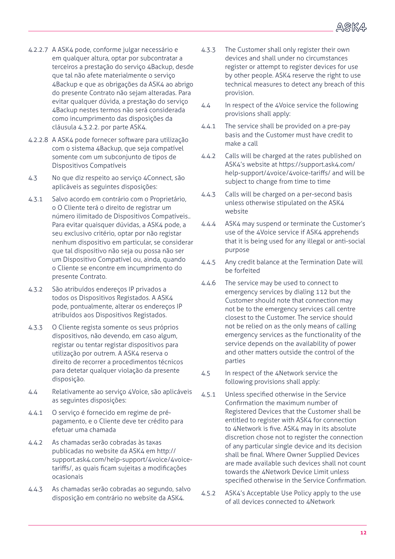

- 4.2.2.7 A ASK4 pode, conforme julgar necessário e em qualquer altura, optar por subcontratar a terceiros a prestação do serviço 4Backup, desde que tal não afete materialmente o serviço 4Backup e que as obrigações da ASK4 ao abrigo do presente Contrato não sejam alteradas. Para evitar qualquer dúvida, a prestação do serviço 4Backup nestes termos não será considerada como incumprimento das disposições da cláusula 4.3.2.2. por parte ASK4.
- 4.2.2.8 A ASK4 pode fornecer software para utilização com o sistema 4Backup, que seja compatível somente com um subconjunto de tipos de Dispositivos Compatíveis
- 4.3 No que diz respeito ao serviço 4Connect, são aplicáveis as seguintes disposições:
- 4.3.1 Salvo acordo em contrário com o Proprietário, o O Cliente terá o direito de registrar um número ilimitado de Dispositivos Compatíveis.. Para evitar quaisquer dúvidas, a ASK4 pode, a seu exclusivo critério, optar por não registar nenhum dispositivo em particular, se considerar que tal dispositivo não seja ou possa não ser um Dispositivo Compatível ou, ainda, quando o Cliente se encontre em incumprimento do presente Contrato.
- 4.3.2 São atribuídos endereços IP privados a todos os Dispositivos Registados. A ASK4 pode, pontualmente, alterar os endereços IP atribuídos aos Dispositivos Registados.
- 4.3.3 O Cliente regista somente os seus próprios dispositivos, não devendo, em caso algum, registar ou tentar registar dispositivos para utilização por outrem. A ASK4 reserva o direito de recorrer a procedimentos técnicos para detetar qualquer violação da presente disposição.
- 4.4 Relativamente ao serviço 4Voice, são aplicáveis as seguintes disposições:
- 4.4.1 O serviço é fornecido em regime de prépagamento, e o Cliente deve ter crédito para efetuar uma chamada
- 4.4.2 As chamadas serão cobradas às taxas publicadas no website da ASK4 em http:// support.ask4.com/help-support/4voice/4voicetariffs/, as quais ficam sujeitas a modificações ocasionais
- 4.4.3 As chamadas serão cobradas ao segundo, salvo disposição em contrário no website da ASK4.
- 4.3.3 The Customer shall only register their own devices and shall under no circumstances register or attempt to register devices for use by other people. ASK4 reserve the right to use technical measures to detect any breach of this provision.
- 4.4 In respect of the 4Voice service the following provisions shall apply:
- 4.4.1 The service shall be provided on a pre-pay basis and the Customer must have credit to make a call
- 4.4.2 Calls will be charged at the rates published on ASK4's website at https://support.ask4.com/ help-support/4voice/4voice-tariffs/ and will be subject to change from time to time
- 4.4.3 Calls will be charged on a per-second basis unless otherwise stipulated on the ASK4 website
- 4.4.4 ASK4 may suspend or terminate the Customer's use of the 4Voice service if ASK4 apprehends that it is being used for any illegal or anti-social purpose
- 4.4.5 Any credit balance at the Termination Date will be forfeited
- 4.4.6 The service may be used to connect to emergency services by dialing 112 but the Customer should note that connection may not be to the emergency services call centre closest to the Customer. The service should not be relied on as the only means of calling emergency services as the functionality of the service depends on the availability of power and other matters outside the control of the parties
- 4.5 In respect of the 4Network service the following provisions shall apply:
- 4.5.1 Unless specified otherwise in the Service Confirmation the maximum number of Registered Devices that the Customer shall be entitled to register with ASK4 for connection to 4Network is five. ASK4 may in its absolute discretion chose not to register the connection of any particular single device and its decision shall be final. Where Owner Supplied Devices are made available such devices shall not count towards the 4Network Device Limit unless specified otherwise in the Service Confirmation.
- 4.5.2 ASK4's Acceptable Use Policy apply to the use of all devices connected to 4Network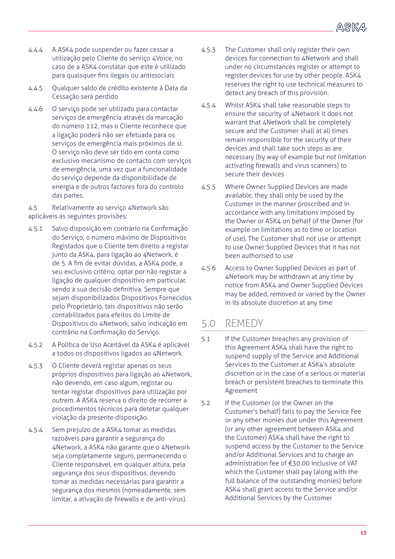

- 4.4.4 A ASK4 pode suspender ou fazer cessar a utilização pelo Cliente do serviço 4Voice, no caso de a ASK4 constatar que este é utilizado para quaisquer fins ilegais ou antissociais
- 4.4.5 Qualquer saldo de crédito existente à Data da Cessação será perdido
- 4.4.6 O serviço pode ser utilizado para contactar serviços de emergência através da marcação do número 112, mas o Cliente reconhece que a ligação poderá não ser efetuada para os serviços de emergência mais próximos de si. O serviço não deve ser tido em conta como exclusivo mecanismo de contacto com serviços de emergência, uma vez que a funcionalidade do serviço depende da disponibilidade de energia e de outros factores fora do controlo das partes.

4.5 Relativamente ao serviço 4Network são aplicáveis as seguintes provisões:

- 4.5.1 Salvo disposição em contrário na Confirmação do Serviço, o número máximo de Dispositivos Registados que o Cliente tem direito a registar junto da ASK4, para ligação ao 4Network, é de 5. A fim de evitar dúvidas, a ASK4 pode, a seu exclusivo critério, optar por não registar a ligação de qualquer dispositivo em particular, sendo a sua decisão definitiva. Sempre que sejam disponibilizados Dispositivos Fornecidos pelo Proprietário, tais dispositivos não serão contabilizados para efeitos do Limite de Dispositivos do 4Network, salvo indicação em contrário na Confirmação do Serviço.
- 4.5.2 A Política de Uso Aceitável da ASK4 é aplicável a todos os dispositivos ligados ao 4Network.
- 4.5.3 O Cliente deverá registar apenas os seus próprios dispositivos para ligação ao 4Network, não devendo, em caso algum, registar ou tentar registar dispositivos para utilização por outrem. A ASK4 reserva o direito de recorrer a procedimentos técnicos para detetar qualquer violação da presente disposição.
- 4.5.4 Sem prejuízo de a ASK4 tomar as medidas razoáveis para garantir a segurança do 4Network, a ASK4 não garante que o 4Network seja completamente seguro, permanecendo o Cliente responsável, em qualquer altura, pela segurança dos seus dispositivos, devendo tomar as medidas necessárias para garantir a segurança dos mesmos (nomeadamente, sem limitar, a ativação de firewalls e de anti-vírus).
- 4.5.3 The Customer shall only register their own devices for connection to 4Network and shall under no circumstances register or attempt to register devices for use by other people. ASK4 reserves the right to use technical measures to detect any breach of this provision.
- 4.5.4 Whilst ASK4 shall take reasonable steps to ensure the security of 4Network it does not warrant that 4Network shall be completely secure and the Customer shall at all times remain responsible for the security of their devices and shall take such steps as are necessary (by way of example but not limitation activating firewalls and virus scanners) to secure their devices
- 4.5.5 Where Owner Supplied Devices are made available, they shall only be used by the Customer in the manner proscribed and in accordance with any limitations imposed by the Owner or ASK4 on behalf of the Owner (for example on limitations as to time or location of use). The Customer shall not use or attempt to use Owner Supplied Devices that it has not been authorised to use
- 4.5.6 Access to Owner Supplied Devices as part of 4Network may be withdrawn at any time by notice from ASK4 and Owner Supplied Devices may be added, removed or varied by the Owner in its absolute discretion at any time

#### 5.0 REMEDY

- 5.1 If the Customer breaches any provision of this Agreement ASK4 shall have the right to suspend supply of the Service and Additional Services to the Customer at ASK4's absolute discretion or in the case of a serious or material breach or persistent breaches to terminate this Agreement
- 5.2 If the Customer (or the Owner on the Customer's behalf) fails to pay the Service Fee or any other monies due under this Agreement (or any other agreement between ASK4 and the Customer) ASK4 shall have the right to suspend access by the Customer to the Service and/or Additional Services and to charge an administration fee of €30.00 inclusive of VAT which the Customer shall pay (along with the full balance of the outstanding monies) before ASK4 shall grant access to the Service and/or Additional Services by the Customer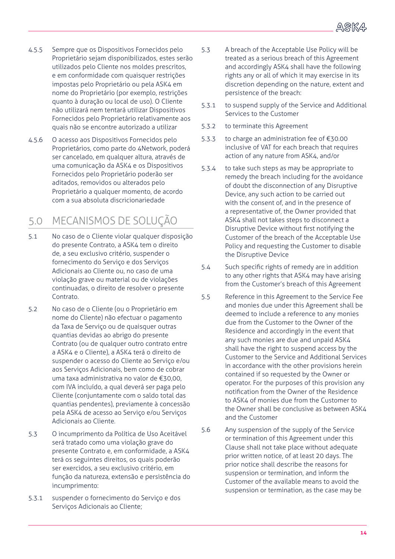

- 4.5.5 Sempre que os Dispositivos Fornecidos pelo Proprietário sejam disponibilizados, estes serão utilizados pelo Cliente nos moldes prescritos, e em conformidade com quaisquer restrições impostas pelo Proprietário ou pela ASK4 em nome do Proprietário (por exemplo, restrições quanto à duração ou local de uso). O Cliente não utilizará nem tentará utilizar Dispositivos Fornecidos pelo Proprietário relativamente aos quais não se encontre autorizado a utilizar
- 4.5.6 O acesso aos Dispositivos Fornecidos pelo Proprietários, como parte do 4Network, poderá ser cancelado, em qualquer altura, através de uma comunicação da ASK4 e os Dispositivos Fornecidos pelo Proprietário poderão ser aditados, removidos ou alterados pelo Proprietário a qualquer momento, de acordo com a sua absoluta discricionariedade

## 5.0 MECANISMOS DE SOLUÇÃO

- 5.1 No caso de o Cliente violar qualquer disposição do presente Contrato, a ASK4 tem o direito de, a seu exclusivo critério, suspender o fornecimento do Serviço e dos Serviços Adicionais ao Cliente ou, no caso de uma violação grave ou material ou de violações continuadas, o direito de resolver o presente Contrato.
- 5.2 No caso de o Cliente (ou o Proprietário em nome do Cliente) não efectuar o pagamento da Taxa de Serviço ou de quaisquer outras quantias devidas ao abrigo do presente Contrato (ou de qualquer outro contrato entre a ASK4 e o Cliente), a ASK4 terá o direito de suspender o acesso do Cliente ao Serviço e/ou aos Serviços Adicionais, bem como de cobrar uma taxa administrativa no valor de €30,00, com IVA incluído, a qual deverá ser paga pelo Cliente (conjuntamente com o saldo total das quantias pendentes), previamente à concessão pela ASK4 de acesso ao Serviço e/ou Serviços Adicionais ao Cliente.
- 5.3 O incumprimento da Política de Uso Aceitável será tratado como uma violação grave do presente Contrato e, em conformidade, a ASK4 terá os seguintes direitos, os quais poderão ser exercidos, a seu exclusivo critério, em função da natureza, extensão e persistência do incumprimento:
- 5.3.1 suspender o fornecimento do Serviço e dos Serviços Adicionais ao Cliente;
- 5.3 A breach of the Acceptable Use Policy will be treated as a serious breach of this Agreement and accordingly ASK4 shall have the following rights any or all of which it may exercise in its discretion depending on the nature, extent and persistence of the breach:
- 5.3.1 to suspend supply of the Service and Additional Services to the Customer
- 5.3.2 to terminate this Agreement
- 5.3.3 to charge an administration fee of €30.00 inclusive of VAT for each breach that requires action of any nature from ASK4, and/or
- 5.3.4 to take such steps as may be appropriate to remedy the breach including for the avoidance of doubt the disconnection of any Disruptive Device, any such action to be carried out with the consent of, and in the presence of a representative of, the Owner provided that ASK4 shall not takes steps to disconnect a Disruptive Device without first notifying the Customer of the breach of the Acceptable Use Policy and requesting the Customer to disable the Disruptive Device
- 5.4 Such specific rights of remedy are in addition to any other rights that ASK4 may have arising from the Customer's breach of this Agreement
- 5.5 Reference in this Agreement to the Service Fee and monies due under this Agreement shall be deemed to include a reference to any monies due from the Customer to the Owner of the Residence and accordingly in the event that any such monies are due and unpaid ASK4 shall have the right to suspend access by the Customer to the Service and Additional Services in accordance with the other provisions herein contained if so requested by the Owner or operator. For the purposes of this provision any notification from the Owner of the Residence to ASK4 of monies due from the Customer to the Owner shall be conclusive as between ASK4 and the Customer
- 5.6 Any suspension of the supply of the Service or termination of this Agreement under this Clause shall not take place without adequate prior written notice, of at least 20 days. The prior notice shall describe the reasons for suspension or termination, and inform the Customer of the available means to avoid the suspension or termination, as the case may be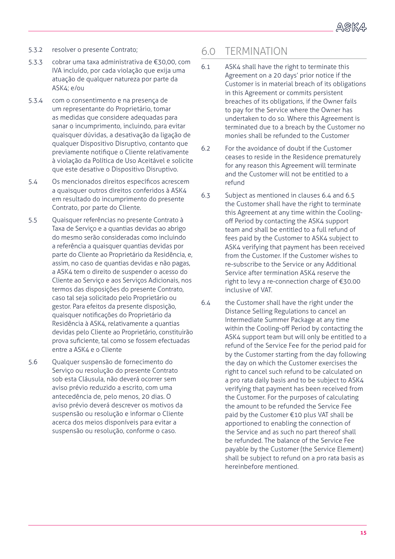- 5.3.2 resolver o presente Contrato;
- 5.3.3 cobrar uma taxa administrativa de €30,00, com IVA incluído, por cada violação que exija uma atuação de qualquer natureza por parte da ASK4; e/ou
- 5.3.4 com o consentimento e na presença de um representante do Proprietário, tomar as medidas que considere adequadas para sanar o incumprimento, incluindo, para evitar quaisquer dúvidas, a desativação da ligação de qualquer Dispositivo Disruptivo, contanto que previamente notifique o Cliente relativamente à violação da Política de Uso Aceitável e solicite que este desative o Dispositivo Disruptivo.
- 5.4 Os mencionados direitos específicos acrescem a quaisquer outros direitos conferidos à ASK4 em resultado do incumprimento do presente Contrato, por parte do Cliente.
- 5.5 Quaisquer referências no presente Contrato à Taxa de Serviço e a quantias devidas ao abrigo do mesmo serão consideradas como incluindo a referência a quaisquer quantias devidas por parte do Cliente ao Proprietário da Residência, e, assim, no caso de quantias devidas e não pagas, a ASK4 tem o direito de suspender o acesso do Cliente ao Serviço e aos Serviços Adicionais, nos termos das disposições do presente Contrato, caso tal seja solicitado pelo Proprietário ou gestor. Para efeitos da presente disposição, quaisquer notificações do Proprietário da Residência à ASK4, relativamente a quantias devidas pelo Cliente ao Proprietário, constituirão prova suficiente, tal como se fossem efectuadas entre a ASK4 e o Cliente
- 5.6 Qualquer suspensão de fornecimento do Serviço ou resolução do presente Contrato sob esta Cláusula, não deverá ocorrer sem aviso prévio reduzido a escrito, com uma antecedência de, pelo menos, 20 dias. O aviso prévio deverá descrever os motivos da suspensão ou resolução e informar o Cliente acerca dos meios disponíveis para evitar a suspensão ou resolução, conforme o caso.

#### 6.0 TERMINATION

- 6.1 ASK4 shall have the right to terminate this Agreement on a 20 days' prior notice if the Customer is in material breach of its obligations in this Agreement or commits persistent breaches of its obligations, if the Owner fails to pay for the Service where the Owner has undertaken to do so. Where this Agreement is terminated due to a breach by the Customer no monies shall be refunded to the Customer
- 6.2 For the avoidance of doubt if the Customer ceases to reside in the Residence prematurely for any reason this Agreement will terminate and the Customer will not be entitled to a refund
- 6.3 Subject as mentioned in clauses 6.4 and 6.5 the Customer shall have the right to terminate this Agreement at any time within the Coolingoff Period by contacting the ASK4 support team and shall be entitled to a full refund of fees paid by the Customer to ASK4 subject to ASK4 verifying that payment has been received from the Customer. If the Customer wishes to re-subscribe to the Service or any Additional Service after termination ASK4 reserve the right to levy a re-connection charge of €30.00 inclusive of VAT.
- 6.4 the Customer shall have the right under the Distance Selling Regulations to cancel an Intermediate Summer Package at any time within the Cooling-off Period by contacting the ASK4 support team but will only be entitled to a refund of the Service Fee for the period paid for by the Customer starting from the day following the day on which the Customer exercises the right to cancel such refund to be calculated on a pro rata daily basis and to be subject to ASK4 verifying that payment has been received from the Customer. For the purposes of calculating the amount to be refunded the Service Fee paid by the Customer €10 plus VAT shall be apportioned to enabling the connection of the Service and as such no part thereof shall be refunded. The balance of the Service Fee payable by the Customer (the Service Element) shall be subject to refund on a pro rata basis as hereinbefore mentioned.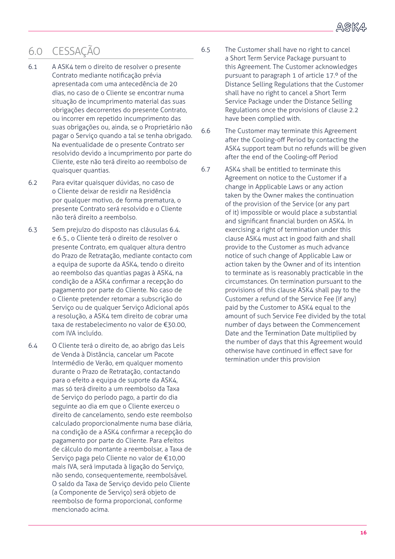

## 6.0 CESSAÇÃO

- 6.1 A ASK4 tem o direito de resolver o presente Contrato mediante notificação prévia apresentada com uma antecedência de 20 dias, no caso de o Cliente se encontrar numa situação de incumprimento material das suas obrigações decorrentes do presente Contrato, ou incorrer em repetido incumprimento das suas obrigações ou, ainda, se o Proprietário não pagar o Serviço quando a tal se tenha obrigado. Na eventualidade de o presente Contrato ser resolvido devido a incumprimento por parte do Cliente, este não terá direito ao reembolso de quaisquer quantias.
- 6.2 Para evitar quaisquer dúvidas, no caso de o Cliente deixar de residir na Residência por qualquer motivo, de forma prematura, o presente Contrato será resolvido e o Cliente não terá direito a reembolso.
- 6.3 Sem prejuízo do disposto nas cláusulas 6.4. e 6.5., o Cliente terá o direito de resolver o presente Contrato, em qualquer altura dentro do Prazo de Retratação, mediante contacto com a equipa de suporte da ASK4, tendo o direito ao reembolso das quantias pagas à ASK4, na condição de a ASK4 confirmar a recepção do pagamento por parte do Cliente. No caso de o Cliente pretender retomar a subscrição do Serviço ou de qualquer Serviço Adicional após a resolução, a ASK4 tem direito de cobrar uma taxa de restabelecimento no valor de €30.00, com IVA incluído.
- 6.4 O Cliente terá o direito de, ao abrigo das Leis de Venda à Distância, cancelar um Pacote Intermédio de Verão, em qualquer momento durante o Prazo de Retratação, contactando para o efeito a equipa de suporte da ASK4, mas só terá direito a um reembolso da Taxa de Serviço do período pago, a partir do dia seguinte ao dia em que o Cliente exerceu o direito de cancelamento, sendo este reembolso calculado proporcionalmente numa base diária, na condição de a ASK4 confirmar a recepção do pagamento por parte do Cliente. Para efeitos de cálculo do montante a reembolsar, a Taxa de Serviço paga pelo Cliente no valor de €10,00 mais IVA, será imputada à ligação do Serviço, não sendo, consequentemente, reembolsável. O saldo da Taxa de Serviço devido pelo Cliente (a Componente de Serviço) será objeto de reembolso de forma proporcional, conforme mencionado acima.
- 6.5 The Customer shall have no right to cancel a Short Term Service Package pursuant to this Agreement. The Customer acknowledges pursuant to paragraph 1 of article 17.º of the Distance Selling Regulations that the Customer shall have no right to cancel a Short Term Service Package under the Distance Selling Regulations once the provisions of clause 2.2 have been complied with.
- 6.6 The Customer may terminate this Agreement after the Cooling-off Period by contacting the ASK4 support team but no refunds will be given after the end of the Cooling-off Period
- 6.7 ASK4 shall be entitled to terminate this Agreement on notice to the Customer if a change in Applicable Laws or any action taken by the Owner makes the continuation of the provision of the Service (or any part of it) impossible or would place a substantial and significant financial burden on ASK4. In exercising a right of termination under this clause ASK4 must act in good faith and shall provide to the Customer as much advance notice of such change of Applicable Law or action taken by the Owner and of its intention to terminate as is reasonably practicable in the circumstances. On termination pursuant to the provisions of this clause ASK4 shall pay to the Customer a refund of the Service Fee (if any) paid by the Customer to ASK4 equal to the amount of such Service Fee divided by the total number of days between the Commencement Date and the Termination Date multiplied by the number of days that this Agreement would otherwise have continued in effect save for termination under this provision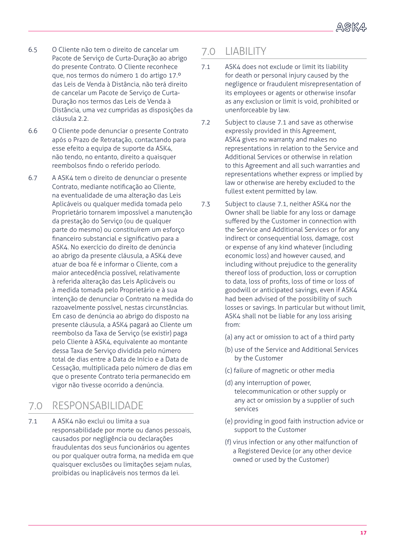

- 6.5 O Cliente não tem o direito de cancelar um Pacote de Serviço de Curta-Duração ao abrigo do presente Contrato. O Cliente reconhece que, nos termos do número 1 do artigo 17.º das Leis de Venda à Distância, não terá direito de cancelar um Pacote de Serviço de Curta-Duração nos termos das Leis de Venda à Distância, uma vez cumpridas as disposições da cláusula 2.2.
- 6.6 O Cliente pode denunciar o presente Contrato após o Prazo de Retratação, contactando para esse efeito a equipa de suporte da ASK4, não tendo, no entanto, direito a quaisquer reembolsos findo o referido período.
- 6.7 A ASK4 tem o direito de denunciar o presente Contrato, mediante notificação ao Cliente, na eventualidade de uma alteração das Leis Aplicáveis ou qualquer medida tomada pelo Proprietário tornarem impossível a manutenção da prestação do Serviço (ou de qualquer parte do mesmo) ou constituírem um esforço financeiro substancial e significativo para a ASK4. No exercício do direito de denúncia ao abrigo da presente cláusula, a ASK4 deve atuar de boa fé e informar o Cliente, com a maior antecedência possível, relativamente à referida alteração das Leis Aplicáveis ou à medida tomada pelo Proprietário e à sua intenção de denunciar o Contrato na medida do razoavelmente possível, nestas circunstâncias. Em caso de denúncia ao abrigo do disposto na presente cláusula, a ASK4 pagará ao Cliente um reembolso da Taxa de Serviço (se existir) paga pelo Cliente à ASK4, equivalente ao montante dessa Taxa de Serviço dividida pelo número total de dias entre a Data de Início e a Data de Cessação, multiplicada pelo número de dias em que o presente Contrato teria permanecido em vigor não tivesse ocorrido a denúncia.

### 7.0 RESPONSABILIDADE

7.1 A ASK4 não exclui ou limita a sua responsabilidade por morte ou danos pessoais, causados por negligência ou declarações fraudulentas dos seus funcionários ou agentes ou por qualquer outra forma, na medida em que quaisquer exclusões ou limitações sejam nulas, proibidas ou inaplicáveis nos termos da lei.

#### 7.0 LIABILITY

- 7.1 ASK4 does not exclude or limit its liability for death or personal injury caused by the negligence or fraudulent misrepresentation of its employees or agents or otherwise insofar as any exclusion or limit is void, prohibited or unenforceable by law.
- 7.2 Subject to clause 7.1 and save as otherwise expressly provided in this Agreement, ASK4 gives no warranty and makes no representations in relation to the Service and Additional Services or otherwise in relation to this Agreement and all such warranties and representations whether express or implied by law or otherwise are hereby excluded to the fullest extent permitted by law.
- 7.3 Subject to clause 7.1, neither ASK4 nor the Owner shall be liable for any loss or damage suffered by the Customer in connection with the Service and Additional Services or for any indirect or consequential loss, damage, cost or expense of any kind whatever (including economic loss) and however caused, and including without prejudice to the generality thereof loss of production, loss or corruption to data, loss of profits, loss of time or loss of goodwill or anticipated savings, even if ASK4 had been advised of the possibility of such losses or savings. In particular but without limit, ASK4 shall not be liable for any loss arising from:
	- (a) any act or omission to act of a third party
	- (b) use of the Service and Additional Services by the Customer
	- (c) failure of magnetic or other media
	- (d) any interruption of power, telecommunication or other supply or any act or omission by a supplier of such services
	- (e) providing in good faith instruction advice or support to the Customer
	- (f) virus infection or any other malfunction of a Registered Device (or any other device owned or used by the Customer)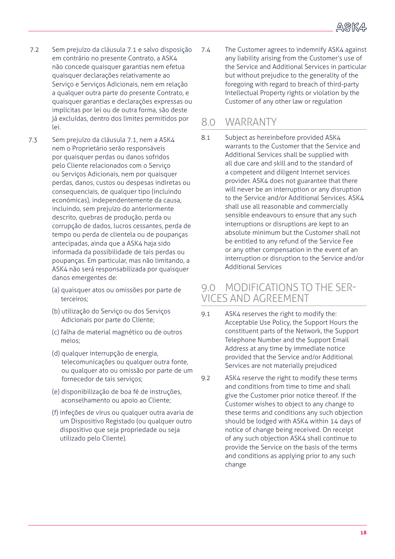- 7.2 Sem prejuízo da cláusula 7.1 e salvo disposição em contrário no presente Contrato, a ASK4 não concede quaisquer garantias nem efetua quaisquer declarações relativamente ao Serviço e Serviços Adicionais, nem em relação a qualquer outra parte do presente Contrato, e quaisquer garantias e declarações expressas ou implícitas por lei ou de outra forma, são deste já excluídas, dentro dos limites permitidos por lei.
- 7.3 Sem prejuízo da cláusula 7.1, nem a ASK4 nem o Proprietário serão responsáveis por quaisquer perdas ou danos sofridos pelo Cliente relacionados com o Serviço ou Serviços Adicionais, nem por quaisquer perdas, danos, custos ou despesas indiretas ou consequenciais, de qualquer tipo (incluindo económicas), independentemente da causa, incluindo, sem prejuízo do anteriormente descrito, quebras de produção, perda ou corrupção de dados, lucros cessantes, perda de tempo ou perda de clientela ou de poupanças antecipadas, ainda que a ASK4 haja sido informada da possibilidade de tais perdas ou poupanças. Em particular, mas não limitando, a ASK4 não será responsabilizada por quaisquer danos emergentes de:
	- (a) quaisquer atos ou omissões por parte de terceiros;
	- (b) utilização do Serviço ou dos Serviços Adicionais por parte do Cliente;
	- (c) falha de material magnético ou de outros meios;
	- (d) qualquer interrupção de energia, telecomunicações ou qualquer outra fonte, ou qualquer ato ou omissão por parte de um fornecedor de tais serviços;
	- (e) disponibilização de boa fé de instruções, aconselhamento ou apoio ao Cliente;
	- (f) infeções de vírus ou qualquer outra avaria de um Dispositivo Registado (ou qualquer outro dispositivo que seja propriedade ou seja utilizado pelo Cliente).

7.4 The Customer agrees to indemnify ASK4 against any liability arising from the Customer's use of the Service and Additional Services in particular but without prejudice to the generality of the foregoing with regard to breach of third-party Intellectual Property rights or violation by the Customer of any other law or regulation

#### 8.0 WARRANTY

8.1 Subject as hereinbefore provided ASK4 warrants to the Customer that the Service and Additional Services shall be supplied with all due care and skill and to the standard of a competent and diligent Internet services provider. ASK4 does not guarantee that there will never be an interruption or any disruption to the Service and/or Additional Services. ASK4 shall use all reasonable and commercially sensible endeavours to ensure that any such interruptions or disruptions are kept to an absolute minimum but the Customer shall not be entitled to any refund of the Service Fee or any other compensation in the event of an interruption or disruption to the Service and/or Additional Services

#### 9.0 MODIFICATIONS TO THE SER-VICES AND AGREEMENT

- 9.1 ASK4 reserves the right to modify the: Acceptable Use Policy, the Support Hours the constituent parts of the Network, the Support Telephone Number and the Support Email Address at any time by immediate notice provided that the Service and/or Additional Services are not materially prejudiced
- 9.2 ASK4 reserve the right to modify these terms and conditions from time to time and shall give the Customer prior notice thereof. If the Customer wishes to object to any change to these terms and conditions any such objection should be lodged with ASK4 within 14 days of notice of change being received. On receipt of any such objection ASK4 shall continue to provide the Service on the basis of the terms and conditions as applying prior to any such change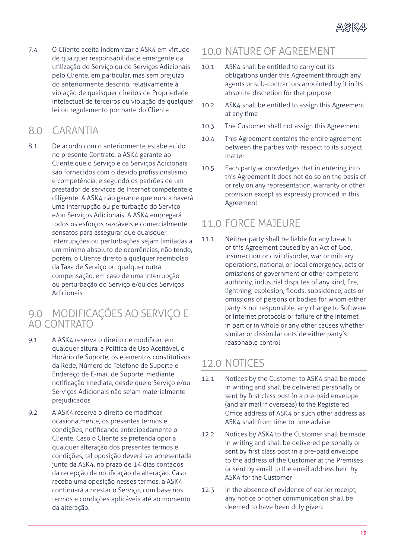7.4 O Cliente aceita indemnizar a ASK4 em virtude de qualquer responsabilidade emergente da utilização do Serviço ou de Serviços Adicionais pelo Cliente, em particular, mas sem prejuízo do anteriormente descrito, relativamente à violação de quaisquer direitos de Propriedade Intelectual de terceiros ou violação de qualquer lei ou regulamento por parte do Cliente

### 8.0 GARANTIA

8.1 De acordo com o anteriormente estabelecido no presente Contrato, a ASK4 garante ao Cliente que o Serviço e os Serviços Adicionais são fornecidos com o devido profissionalismo e competência, e segundo os padrões de um prestador de serviços de Internet competente e diligente. A ASK4 não garante que nunca haverá uma interrupção ou perturbação do Serviço e/ou Serviços Adicionais. A ASK4 empregará todos os esforços razoáveis e comercialmente sensatos para assegurar que quaisquer interrupções ou perturbações sejam limitadas a um mínimo absoluto de ocorrências, não tendo, porém, o Cliente direito a qualquer reembolso da Taxa de Serviço ou qualquer outra compensação, em caso de uma interrupção ou perturbação do Serviço e/ou dos Serviços Adicionais

#### 9.0 MODIFICAÇÕES AO SERVIÇO E AO CONTRATO

- 9.1 A ASK4 reserva o direito de modificar, em qualquer altura: a Política de Uso Aceitável, o Horário de Suporte, os elementos constitutivos da Rede, Número de Telefone de Suporte e Endereço de E-mail de Suporte, mediante notificação imediata, desde que o Serviço e/ou Serviços Adicionais não sejam materialmente prejudicados
- 9.2 A ASK4 reserva o direito de modificar, ocasionalmente, os presentes termos e condições, notificando antecipadamente o Cliente. Caso o Cliente se pretenda opor a qualquer alteração dos presentes termos e condições, tal oposição deverá ser apresentada junto da ASK4, no prazo de 14 dias contados da recepção da notificação da alteração. Caso receba uma oposição nesses termos, a ASK4 continuará a prestar o Serviço, com base nos termos e condições aplicáveis até ao momento da alteração.

#### 10.0 NATURE OF AGREEMENT

- 10.1 ASK4 shall be entitled to carry out its obligations under this Agreement through any agents or sub-contractors appointed by it in its absolute discretion for that purpose
- 10.2 ASK4 shall be entitled to assign this Agreement at any time
- 10.3 The Customer shall not assign this Agreement
- 10.4 This Agreement contains the entire agreement between the parties with respect to its subject matter
- 10.5 Each party acknowledges that in entering into this Agreement it does not do so on the basis of or rely on any representation, warranty or other provision except as expressly provided in this Agreement

#### 11.0 FORCE MAJEURE

11.1 Neither party shall be liable for any breach of this Agreement caused by an Act of God, insurrection or civil disorder, war or military operations, national or local emergency, acts or omissions of government or other competent authority, industrial disputes of any kind, fire, lightning, explosion, floods, subsidence, acts or omissions of persons or bodies for whom either party is not responsible, any change to Software or Internet protocols or failure of the Internet in part or in whole or any other causes whether similar or dissimilar outside either party's reasonable control

#### 12.0 NOTICES

- 12.1 Notices by the Customer to ASK4 shall be made in writing and shall be delivered personally or sent by first class post in a pre-paid envelope (and air mail if overseas) to the Registered Office address of ASK4 or such other address as ASK4 shall from time to time advise
- 12.2 Notices by ASK4 to the Customer shall be made in writing and shall be delivered personally or sent by first class post in a pre-paid envelope to the address of the Customer at the Premises or sent by email to the email address held by ASK4 for the Customer
- 12.3 In the absence of evidence of earlier receipt, any notice or other communication shall be deemed to have been duly given: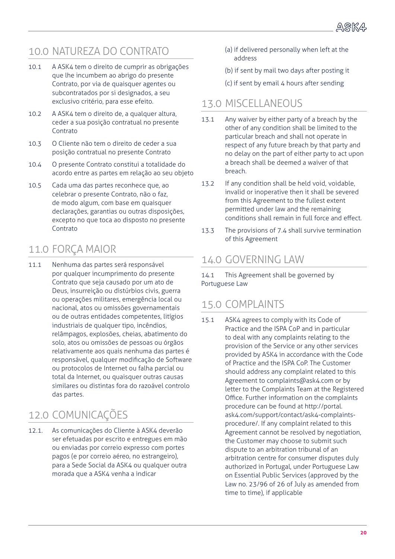## 10.0 NATUREZA DO CONTRATO

- 10.1 A ASK4 tem o direito de cumprir as obrigações que lhe incumbem ao abrigo do presente Contrato, por via de quaisquer agentes ou subcontratados por si designados, a seu exclusivo critério, para esse efeito.
- 10.2 A ASK4 tem o direito de, a qualquer altura, ceder a sua posição contratual no presente Contrato
- 10.3 O Cliente não tem o direito de ceder a sua posição contratual no presente Contrato
- 10.4 O presente Contrato constitui a totalidade do acordo entre as partes em relação ao seu objeto
- 10.5 Cada uma das partes reconhece que, ao celebrar o presente Contrato, não o faz, de modo algum, com base em quaisquer declarações, garantias ou outras disposições, excepto no que toca ao disposto no presente Contrato

### 11.0 FORÇA MAIOR

11.1 Nenhuma das partes será responsável por qualquer incumprimento do presente Contrato que seja causado por um ato de Deus, insurreição ou distúrbios civis, guerra ou operações militares, emergência local ou nacional, atos ou omissões governamentais ou de outras entidades competentes, litígios industriais de qualquer tipo, incêndios, relâmpagos, explosões, cheias, abatimento do solo, atos ou omissões de pessoas ou órgãos relativamente aos quais nenhuma das partes é responsável, qualquer modificação de Software ou protocolos de Internet ou falha parcial ou total da Internet, ou quaisquer outras causas similares ou distintas fora do razoável controlo das partes.

## 12.0 COMUNICAÇÕES

12.1. As comunicações do Cliente à ASK4 deverão ser efetuadas por escrito e entregues em mão ou enviadas por correio expresso com portes pagos (e por correio aéreo, no estrangeiro), para a Sede Social da ASK4 ou qualquer outra morada que a ASK4 venha a indicar

- (a) if delivered personally when left at the address
- (b) if sent by mail two days after posting it
- (c) if sent by email 4 hours after sending

#### 13.0 MISCELLANEOUS

- 13.1 Any waiver by either party of a breach by the other of any condition shall be limited to the particular breach and shall not operate in respect of any future breach by that party and no delay on the part of either party to act upon a breach shall be deemed a waiver of that breach.
- 13.2 If any condition shall be held void, voidable, invalid or inoperative then it shall be severed from this Agreement to the fullest extent permitted under law and the remaining conditions shall remain in full force and effect.
- 13.3 The provisions of 7.4 shall survive termination of this Agreement

#### 14.0 GOVERNING LAW

14.1 This Agreement shall be governed by Portuguese Law

#### 15.0 COMPLAINTS

15.1 ASK4 agrees to comply with its Code of Practice and the ISPA CoP and in particular to deal with any complaints relating to the provision of the Service or any other services provided by ASK4 in accordance with the Code of Practice and the ISPA CoP. The Customer should address any complaint related to this Agreement to complaints@ask4.com or by letter to the Complaints Team at the Registered Office. Further information on the complaints procedure can be found at http://portal. ask4.com/support/contact/ask4-complaintsprocedure/. If any complaint related to this Agreement cannot be resolved by negotiation, the Customer may choose to submit such dispute to an arbitration tribunal of an arbitration centre for consumer disputes duly authorized in Portugal, under Portuguese Law on Essential Public Services (approved by the Law no. 23/96 of 26 of July as amended from time to time), if applicable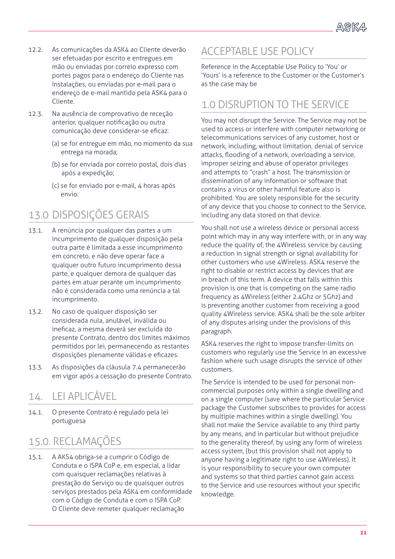- 12.2. As comunicações da ASK4 ao Cliente deverão ser efetuadas por escrito e entregues em mão ou enviadas por correio expresso com portes pagos para o endereço do Cliente nas Instalações, ou enviadas por e-mail para o endereço de e-mail mantido pela ASK4 para o Cliente.
- 12.3. Na ausência de comprovativo de receção anterior, qualquer notificação ou outra comunicação deve considerar-se eficaz:
	- (a) se for entregue em mão, no momento da sua entrega na morada;
	- (b) se for enviada por correio postal, dois dias após a expedição;
	- (c) se for enviado por e-mail, 4 horas após envio.

## 13.0 DISPOSIÇÕES GERAIS

- 13.1. A renúncia por qualquer das partes a um incumprimento de qualquer disposição pela outra parte é limitada a esse incumprimento em concreto, e não deve operar face a qualquer outro futuro incumprimento dessa parte, e qualquer demora de qualquer das partes em atuar perante um incumprimento não é considerada como uma renúncia a tal incumprimento.
- 13.2. No caso de qualquer disposição ser considerada nula, anulável, inválida ou ineficaz, a mesma deverá ser excluída do presente Contrato, dentro dos limites máximos permitidos por lei, permanecendo as restantes disposições plenamente válidas e eficazes.
- 13.3. As disposições da cláusula 7.4 permanecerão em vigor após a cessação do presente Contrato.

### 14. LEI APLICÁVEL

14.1. O presente Contrato é regulado pela lei portuguesa

## 15.0. RECLAMAÇÕES

15.1. A AKS4 obriga-se a cumprir o Código de Conduta e o ISPA CoP e, em especial, a lidar com quaisquer reclamações relativas à prestação do Serviço ou de quaisquer outros serviços prestados pela ASK4 em conformidade com o Código de Conduta e com o ISPA CoP. O Cliente deve remeter qualquer reclamação

### ACCEPTABLE USE POLICY

Reference in the Acceptable Use Policy to 'You' or 'Yours' is a reference to the Customer or the Customer's as the case may be

### 1.0 DISRUPTION TO THE SERVICE

You may not disrupt the Service. The Service may not be used to access or interfere with computer networking or telecommunications services of any customer, host or network, including, without limitation, denial of service attacks, flooding of a network, overloading a service, improper seizing and abuse of operator privileges and attempts to "crash" a host. The transmission or dissemination of any information or software that contains a virus or other harmful feature also is prohibited. You are solely responsible for the security of any device that you choose to connect to the Service, including any data stored on that device.

You shall not use a wireless device or personal access point which may in any way interfere with, or in any way reduce the quality of, the 4Wireless service by causing a reduction in signal strength or signal availability for other customers who use 4Wireless. ASK4 reserve the right to disable or restrict access by devices that are in breach of this term. A device that falls within this provision is one that is competing on the same radio frequency as 4Wireless (either 2.4Ghz or 5Ghz) and is preventing another customer from receiving a good quality 4Wireless service. ASK4 shall be the sole arbiter of any disputes arising under the provisions of this paragraph.

ASK4 reserves the right to impose transfer-limits on customers who regularly use the Service in an excessive fashion where such usage disrupts the service of other customers.

The Service is intended to be used for personal noncommercial purposes only within a single dwelling and on a single computer (save where the particular Service package the Customer subscribes to provides for access by multiple machines within a single dwelling). You shall not make the Service available to any third party by any means, and in particular but without prejudice to the generality thereof, by using any form of wireless access system, (but this provision shall not apply to anyone having a legitimate right to use 4Wireless). It is your responsibility to secure your own computer and systems so that third parties cannot gain access to the Service and use resources without your specific knowledge.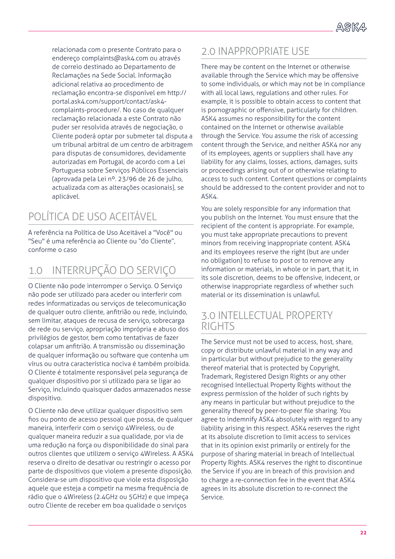relacionada com o presente Contrato para o endereço complaints@ask4.com ou através de correio destinado ao Departamento de Reclamações na Sede Social. Informação adicional relativa ao procedimento de reclamação encontra-se disponível em http:// portal.ask4.com/support/contact/ask4 complaints-procedure/. No caso de qualquer reclamação relacionada a este Contrato não puder ser resolvida através de negociação, o Cliente poderá optar por submeter tal disputa a um tribunal arbitral de um centro de arbitragem para disputas de consumidores, devidamente autorizadas em Portugal, de acordo com a Lei Portuguesa sobre Serviços Públicos Essenciais (aprovada pela Lei nº. 23/96 de 26 de julho, actualizada com as alterações ocasionais), se aplicável.

# POLÍTICA DE USO ACEITÁVEL

A referência na Política de Uso Aceitável a "Você" ou "Seu" é uma referência ao Cliente ou "do Cliente", conforme o caso

### 1.0 INTERRUPÇÃO DO SERVIÇO

O Cliente não pode interromper o Serviço. O Serviço não pode ser utilizado para aceder ou interferir com redes informatizadas ou serviços de telecomunicação de qualquer outro cliente, anfitrião ou rede, incluindo, sem limitar, ataques de recusa de serviço, sobrecarga de rede ou serviço, apropriação imprópria e abuso dos privilégios de gestor, bem como tentativas de fazer colapsar um anfitrião. A transmissão ou disseminação de qualquer informação ou software que contenha um vírus ou outra característica nociva é também proibida. O Cliente é totalmente responsável pela segurança de qualquer dispositivo por si utilizado para se ligar ao Serviço, incluindo quaisquer dados armazenados nesse dispositivo.

O Cliente não deve utilizar qualquer dispositivo sem fios ou ponto de acesso pessoal que possa, de qualquer maneira, interferir com o serviço 4Wireless, ou de qualquer maneira reduzir a sua qualidade, por via de uma redução na força ou disponibilidade do sinal para outros clientes que utilizem o serviço 4Wireless. A ASK4 reserva o direito de desativar ou restringir o acesso por parte de dispositivos que violem a presente disposição. Considera-se um dispositivo que viole esta disposição aquele que esteja a competir na mesma frequência de rádio que o 4Wireless (2.4GHz ou 5GHz) e que impeça outro Cliente de receber em boa qualidade o serviços

#### 2.0 INAPPROPRIATE USE

There may be content on the Internet or otherwise available through the Service which may be offensive to some individuals, or which may not be in compliance with all local laws, regulations and other rules. For example, it is possible to obtain access to content that is pornographic or offensive, particularly for children. ASK4 assumes no responsibility for the content contained on the Internet or otherwise available through the Service. You assume the risk of accessing content through the Service, and neither ASK4 nor any of its employees, agents or suppliers shall have any liability for any claims, losses, actions, damages, suits or proceedings arising out of or otherwise relating to access to such content. Content questions or complaints should be addressed to the content provider and not to ASK4.

You are solely responsible for any information that you publish on the Internet. You must ensure that the recipient of the content is appropriate. For example, you must take appropriate precautions to prevent minors from receiving inappropriate content. ASK4 and its employees reserve the right (but are under no obligation) to refuse to post or to remove any information or materials, in whole or in part, that it, in its sole discretion, deems to be offensive, indecent, or otherwise inappropriate regardless of whether such material or its dissemination is unlawful.

#### 3.0 INTELLECTUAL PROPERTY RIGHTS

The Service must not be used to access, host, share, copy or distribute unlawful material in any way and in particular but without prejudice to the generality thereof material that is protected by Copyright, Trademark, Registered Design Rights or any other recognised Intellectual Property Rights without the express permission of the holder of such rights by any means in particular but without prejudice to the generality thereof by peer-to-peer file sharing. You agree to indemnify ASK4 absolutely with regard to any liability arising in this respect. ASK4 reserves the right at its absolute discretion to limit access to services that in its opinion exist primarily or entirely for the purpose of sharing material in breach of Intellectual Property Rights. ASK4 reserves the right to discontinue the Service if you are in breach of this provision and to charge a re-connection fee in the event that ASK4 agrees in its absolute discretion to re-connect the Service.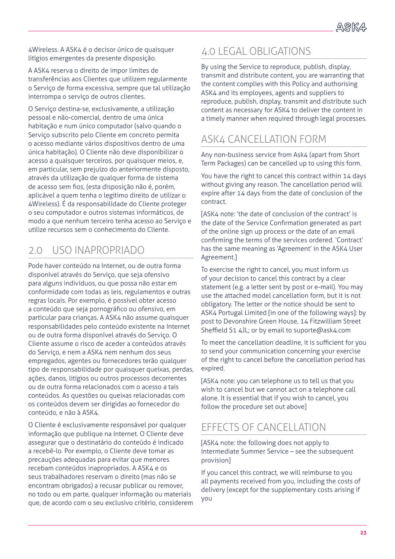4Wireless. A ASK4 é o decisor único de quaisquer litígios emergentes da presente disposição.

A ASK4 reserva o direito de impor limites de transferências aos Clientes que utilizem regularmente o Serviço de forma excessiva, sempre que tal utilização interrompa o serviço de outros clientes.

O Serviço destina-se, exclusivamente, a utilização pessoal e não-comercial, dentro de uma única habitação e num único computador (salvo quando o Serviço subscrito pelo Cliente em concreto permita o acesso mediante vários dispositivos dentro de uma única habitação). O Cliente não deve disponibilizar o acesso a quaisquer terceiros, por quaisquer meios, e, em particular, sem prejuízo do anteriormente disposto, através da utilização de qualquer forma de sistema de acesso sem fios, (esta disposição não é, porém, aplicável a quem tenha o legítimo direito de utilizar o 4Wireless). É da responsabilidade do Cliente proteger o seu computador e outros sistemas informáticos, de modo a que nenhum terceiro tenha acesso ao Serviço e utilize recursos sem o conhecimento do Cliente.

## 2.0 USO INAPROPRIADO

Pode haver conteúdo na Internet, ou de outra forma disponível através do Serviço, que seja ofensivo para alguns indivíduos, ou que possa não estar em conformidade com todas as leis, regulamentos e outras regras locais. Por exemplo, é possível obter acesso a conteúdo que seja pornográfico ou ofensivo, em particular para crianças. A ASK4 não assume quaisquer responsabilidades pelo conteúdo existente na Internet ou de outra forma disponível através do Serviço. O Cliente assume o risco de aceder a conteúdos através do Serviço, e nem a ASK4 nem nenhum dos seus empregados, agentes ou fornecedores terão qualquer tipo de responsabilidade por quaisquer queixas, perdas, ações, danos, litígios ou outros processos decorrentes ou de outra forma relacionados com o acesso a tais conteúdos. As questões ou queixas relacionadas com os conteúdos devem ser dirigidas ao fornecedor do conteúdo, e não à ASK4.

O Cliente é exclusivamente responsável por qualquer informação que publique na Internet. O Cliente deve assegurar que o destinatário do conteúdo é indicado a recebê-lo. Por exemplo, o Cliente deve tomar as precauções adequadas para evitar que menores recebam conteúdos inapropriados. A ASK4 e os seus trabalhadores reservam o direito (mas não se encontram obrigados) a recusar publicar ou remover, no todo ou em parte, qualquer informação ou materiais que, de acordo com o seu exclusivo critério, considerem

### 4.0 LEGAL OBLIGATIONS

By using the Service to reproduce, publish, display, transmit and distribute content, you are warranting that the content complies with this Policy and authorising ASK4 and its employees, agents and suppliers to reproduce, publish, display, transmit and distribute such content as necessary for ASK4 to deliver the content in a timely manner when required through legal processes.

## ASK4 CANCELLATION FORM

Any non-business service from Ask4 (apart from Short Term Packages) can be cancelled up to using this form.

You have the right to cancel this contract within 14 days without giving any reason. The cancellation period will expire after 14 days from the date of conclusion of the contract.

[ASK4 note: 'the date of conclusion of the contract' is the date of the Service Confirmation generated as part of the online sign up process or the date of an email confirming the terms of the services ordered. 'Contract' has the same meaning as 'Agreement' in the ASK4 User Agreement.]

To exercise the right to cancel, you must inform us of your decision to cancel this contract by a clear statement (e.g. a letter sent by post or e-mail). You may use the attached model cancellation form, but it is not obligatory. The letter or the notice should be sent to ASK4 Portugal Limited [in one of the following ways]: by post to Devonshire Green House, 14 Fitzwilliam Street Sheffield S1 4JL; or by email to suporte@ask4.com

To meet the cancellation deadline, it is sufficient for you to send your communication concerning your exercise of the right to cancel before the cancellation period has expired.

[ASK4 note: you can telephone us to tell us that you wish to cancel but we cannot act on a telephone call alone. It is essential that if you wish to cancel, you follow the procedure set out above]

### EFFECTS OF CANCELLATION

[ASK4 note: the following does not apply to Intermediate Summer Service – see the subsequent provision]

If you cancel this contract, we will reimburse to you all payments received from you, including the costs of delivery (except for the supplementary costs arising if you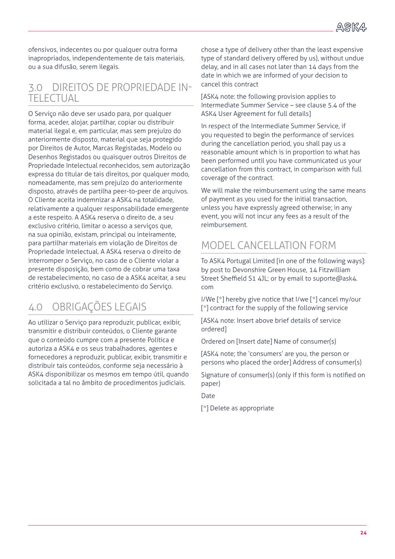

ofensivos, indecentes ou por qualquer outra forma inapropriados, independentemente de tais materiais, ou a sua difusão, serem ilegais.

#### 3.0 DIREITOS DE PROPRIEDADE IN-TELECTUAL

O Serviço não deve ser usado para, por qualquer forma, aceder, alojar, partilhar, copiar ou distribuir material ilegal e, em particular, mas sem prejuízo do anteriormente disposto, material que seja protegido por Direitos de Autor, Marcas Registadas, Modelo ou Desenhos Registados ou quaisquer outros Direitos de Propriedade Intelectual reconhecidos, sem autorização expressa do titular de tais direitos, por qualquer modo, nomeadamente, mas sem prejuízo do anteriormente disposto, através de partilha peer-to-peer de arquivos. O Cliente aceita indemnizar a ASK4 na totalidade, relativamente a qualquer responsabilidade emergente a este respeito. A ASK4 reserva o direito de, a seu exclusivo critério, limitar o acesso a serviços que, na sua opinião, existam, principal ou inteiramente, para partilhar materiais em violação de Direitos de Propriedade Intelectual. A ASK4 reserva o direito de interromper o Serviço, no caso de o Cliente violar a presente disposição, bem como de cobrar uma taxa de restabelecimento, no caso de a ASK4 aceitar, a seu critério exclusivo, o restabelecimento do Serviço.

## 4.0 OBRIGAÇÕES LEGAIS

Ao utilizar o Serviço para reproduzir, publicar, exibir, transmitir e distribuir conteúdos, o Cliente garante que o conteúdo cumpre com a presente Política e autoriza a ASK4 e os seus trabalhadores, agentes e fornecedores a reproduzir, publicar, exibir, transmitir e distribuir tais conteúdos, conforme seja necessário à ASK4 disponibilizar os mesmos em tempo útil, quando solicitada a tal no âmbito de procedimentos judiciais.

chose a type of delivery other than the least expensive type of standard delivery offered by us), without undue delay, and in all cases not later than 14 days from the date in which we are informed of your decision to cancel this contract

[ASK4 note: the following provision applies to Intermediate Summer Service – see clause 5.4 of the ASK4 User Agreement for full details]

In respect of the Intermediate Summer Service, if you requested to begin the performance of services during the cancellation period, you shall pay us a reasonable amount which is in proportion to what has been performed until you have communicated us your cancellation from this contract, in comparison with full coverage of the contract.

We will make the reimbursement using the same means of payment as you used for the initial transaction, unless you have expressly agreed otherwise; in any event, you will not incur any fees as a result of the reimbursement.

## MODEL CANCELLATION FORM

To ASK4 Portugal Limited [in one of the following ways]: by post to Devonshire Green House, 14 Fitzwilliam Street Sheffield S1 4JL; or by email to suporte@ask4. com

I/We [\*] hereby give notice that I/we [\*] cancel my/our [\*] contract for the supply of the following service

[ASK4 note: Insert above brief details of service ordered]

Ordered on [Insert date] Name of consumer(s)

[ASK4 note; the 'consumers' are you, the person or persons who placed the order] Address of consumer(s)

Signature of consumer(s) (only if this form is notified on paper)

Date

[\*] Delete as appropriate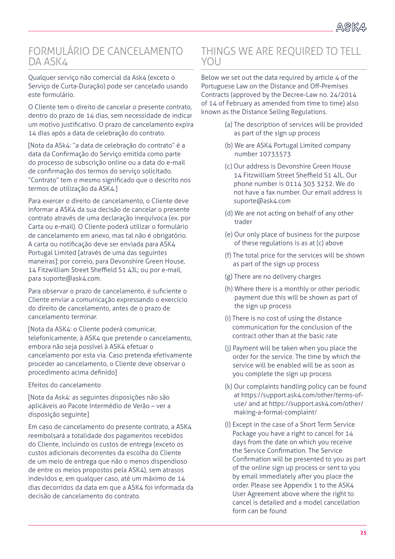#### FORMULÁRIO DE CANCELAMENTO DA ASK4

Qualquer serviço não comercial da Ask4 (exceto o Serviço de Curta-Duração) pode ser cancelado usando este formulário.

O Cliente tem o direito de cancelar o presente contrato, dentro do prazo de 14 dias, sem necessidade de indicar um motivo justificativo. O prazo de cancelamento expira 14 dias após a data de celebração do contrato.

[Nota da ASk4: "a data de celebração do contrato" é a data da Confirmação do Serviço emitida como parte do processo de subscrição online ou a data do e-mail de confirmação dos termos do serviço solicitado. "Contrato" tem o mesmo significado que o descrito nos termos de utilização da ASK4.]

Para exercer o direito de cancelamento, o Cliente deve informar a ASK4 da sua decisão de cancelar o presente contrato através de uma declaração inequívoca (ex. por Carta ou e-mail). O Cliente poderá utilizar o formulário de cancelamento em anexo, mas tal não é obrigatório. A carta ou notificação deve ser enviada para ASK4 Portugal Limited [através de uma das seguintes maneiras]: por correio, para Devonshire Green House, 14 Fitzwilliam Street Sheffield S1 4JL; ou por e-mail, para suporte@ask4.com.

Para observar o prazo de cancelamento, é suficiente o Cliente enviar a comunicação expressando o exercício do direito de cancelamento, antes de o prazo de cancelamento terminar.

[Nota da ASK4: o Cliente poderá comunicar, telefonicamente, à ASK4 que pretende o cancelamento, embora não seja possível à ASK4 efetuar o cancelamento por esta via. Caso pretenda efetivamente proceder ao cancelamento, o Cliente deve observar o procedimento acima definido]

Efeitos do cancelamento

[Nota da Ask4: as seguintes disposições não são aplicáveis ao Pacote Intermédio de Verão – ver a disposição seguinte]

Em caso de cancelamento do presente contrato, a ASK4 reembolsará a totalidade dos pagamentos recebidos do Cliente, incluindo os custos de entrega (exceto os custos adicionais decorrentes da escolha do Cliente de um meio de entrega que não o menos dispendioso de entre os meios propostos pela ASK4), sem atrasos indevidos e, em qualquer caso, até um máximo de 14 dias decorridos da data em que a ASK4 foi informada da decisão de cancelamento do contrato.

#### THINGS WE ARE REQUIRED TO TELL YOU

Below we set out the data required by article 4 of the Portuguese Law on the Distance and Off-Premises Contracts (approved by the Decree-Law no. 24/2014 of 14 of February as amended from time to time) also known as the Distance Selling Regulations.

- (a) The description of services will be provided as part of the sign up process
- (b) We are ASK4 Portugal Limited company number 10733573
- (c) Our address is Devonshire Green House 14 Fitzwilliam Street Sheffield S1 4JL. Our phone number is 0114 303 3232. We do not have a fax number. Our email address is suporte@ask4.com
- (d) We are not acting on behalf of any other trader
- (e) Our only place of business for the purpose of these regulations is as at (c) above
- (f) The total price for the services will be shown as part of the sign up process
- (g) There are no delivery charges
- (h) Where there is a monthly or other periodic payment due this will be shown as part of the sign up process
- (i) There is no cost of using the distance communication for the conclusion of the contract other than at the basic rate
- (j) Payment will be taken when you place the order for the service. The time by which the service will be enabled will be as soon as you complete the sign up process
- (k) Our complaints handling policy can be found at https://support.ask4.com/other/terms-ofuse/ and at https://support.ask4.com/other/ making-a-formal-complaint/
- (l) Except in the case of a Short Term Service Package you have a right to cancel for 14 days from the date on which you receive the Service Confirmation. The Service Confirmation will be presented to you as part of the online sign up process or sent to you by email immediately after you place the order. Please see Appendix 1 to the ASK4 User Agreement above where the right to cancel is detailed and a model cancellation form can be found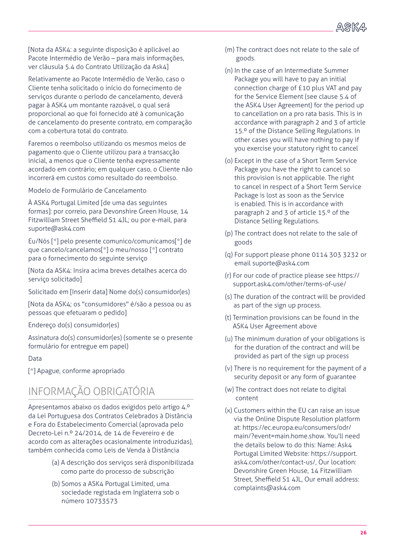[Nota da ASK4: a seguinte disposição é aplicável ao Pacote Intermédio de Verão – para mais informações, ver cláusula 5.4 do Contrato Utilização da Ask4]

Relativamente ao Pacote Intermédio de Verão, caso o Cliente tenha solicitado o início do fornecimento de serviços durante o período de cancelamento, deverá pagar à ASK4 um montante razoável, o qual será proporcional ao que foi fornecido até à comunicação de cancelamento do presente contrato, em comparação com a cobertura total do contrato.

Faremos o reembolso utilizando os mesmos meios de pagamento que o Cliente utilizou para a transacção inicial, a menos que o Cliente tenha expressamente acordado em contrário; em qualquer caso, o Cliente não incorrerá em custos como resultado do reembolso.

Modelo de Formulário de Cancelamento

À ASK4 Portugal Limited [de uma das seguintes formas]: por correio, para Devonshire Green House, 14 Fitzwilliam Street Sheffield S1 4JL; ou por e-mail, para suporte@ask4.com

Eu/Nós [\*] pelo presente comunico/comunicamos[\*] de que cancelo/cancelamos[\*] o meu/nosso [\*] contrato para o fornecimento do seguinte serviço

[Nota da ASK4: Insira acima breves detalhes acerca do serviço solicitado]

Solicitado em [Inserir data] Nome do(s) consumidor(es)

[Nota da ASK4; os "consumidores" é/são a pessoa ou as pessoas que efetuaram o pedido]

Endereço do(s) consumidor(es)

Assinatura do(s) consumidor(es) (somente se o presente formulário for entregue em papel)

#### Data

[\*] Apague, conforme apropriado

## INFORMAÇÃO OBRIGATÓRIA

Apresentamos abaixo os dados exigidos pelo artigo 4.º da Lei Portuguesa dos Contratos Celebrados à Distância e Fora do Estabelecimento Comercial (aprovada pelo Decreto-Lei n.º 24/2014, de 14 de Fevereiro e de acordo com as alterações ocasionalmente introduzidas), também conhecida como Leis de Venda à Distância

- (a) A descrição dos serviços será disponibilizada como parte do processo de subscrição
- (b) Somos a ASK4 Portugal Limited, uma sociedade registada em Inglaterra sob o número 10733573
- (m) The contract does not relate to the sale of goods.
- (n) In the case of an Intermediate Summer Package you will have to pay an initial connection charge of £10 plus VAT and pay for the Service Element (see clause 5.4 of the ASK4 User Agreement) for the period up to cancellation on a pro rata basis. This is in accordance with paragraph 2 and 3 of article 15.º of the Distance Selling Regulations. In other cases you will have nothing to pay if you exercise your statutory right to cancel
- (o) Except in the case of a Short Term Service Package you have the right to cancel so this provision is not applicable. The right to cancel in respect of a Short Term Service Package is lost as soon as the Service is enabled. This is in accordance with paragraph 2 and 3 of article 15.º of the Distance Selling Regulations.
- (p) The contract does not relate to the sale of goods
- (q) For support please phone 0114 303 3232 or email suporte@ask4.com
- (r) For our code of practice please see https:// support.ask4.com/other/terms-of-use/
- (s) The duration of the contract will be provided as part of the sign up process.
- (t) Termination provisions can be found in the ASK4 User Agreement above
- (u) The minimum duration of your obligations is for the duration of the contract and will be provided as part of the sign up process
- (v) There is no requirement for the payment of a security deposit or any form of guarantee
- (w) The contract does not relate to digital content
- (x) Customers within the EU can raise an issue via the Online Dispute Resolution platform at: https://ec.europa.eu/consumers/odr/ main/?event=main.home.show. You'll need the details below to do this: Name: Ask4 Portugal Limited Website: https://support. ask4.com/other/contact-us/, Our location: Devonshire Green House, 14 Fitzwilliam Street, Sheffield S1 4JL, Our email address: complaints@ask4.com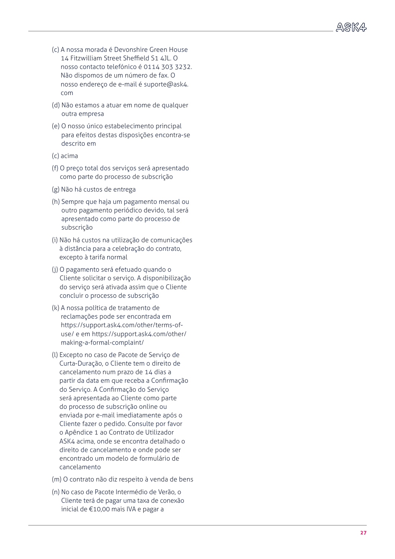- (c) A nossa morada é Devonshire Green House 14 Fitzwilliam Street Sheffield S1 4JL. O nosso contacto telefónico é 0114 303 3232. Não dispomos de um número de fax. O nosso endereço de e-mail é suporte@ask4. com
- (d) Não estamos a atuar em nome de qualquer outra empresa
- (e) O nosso único estabelecimento principal para efeitos destas disposições encontra-se descrito em
- (c) acima
- (f) O preço total dos serviços será apresentado como parte do processo de subscrição
- (g) Não há custos de entrega
- (h) Sempre que haja um pagamento mensal ou outro pagamento periódico devido, tal será apresentado como parte do processo de subscrição
- (i) Não há custos na utilização de comunicações à distância para a celebração do contrato, excepto à tarifa normal
- (j) O pagamento será efetuado quando o Cliente solicitar o serviço. A disponibilização do serviço será ativada assim que o Cliente concluir o processo de subscrição
- (k) A nossa política de tratamento de reclamações pode ser encontrada em https://support.ask4.com/other/terms-ofuse/ e em https://support.ask4.com/other/ making-a-formal-complaint/
- (l) Excepto no caso de Pacote de Serviço de Curta-Duração, o Cliente tem o direito de cancelamento num prazo de 14 dias a partir da data em que receba a Confirmação do Serviço. A Confirmação do Serviço será apresentada ao Cliente como parte do processo de subscrição online ou enviada por e-mail imediatamente após o Cliente fazer o pedido. Consulte por favor o Apêndice 1 ao Contrato de Utilizador ASK4 acima, onde se encontra detalhado o direito de cancelamento e onde pode ser encontrado um modelo de formulário de cancelamento
- (m) O contrato não diz respeito à venda de bens
- (n) No caso de Pacote Intermédio de Verão, o Cliente terá de pagar uma taxa de conexão inicial de €10,00 mais IVA e pagar a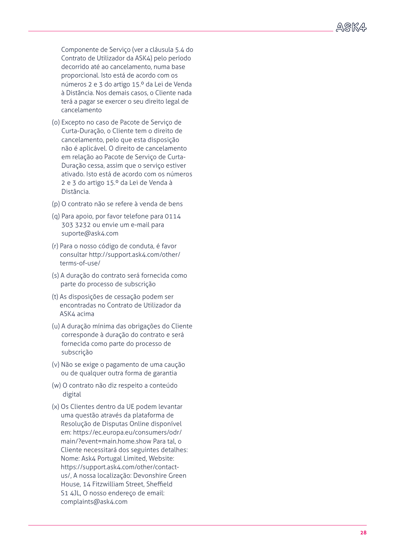Componente de Serviço (ver a cláusula 5.4 do Contrato de Utilizador da ASK4) pelo período decorrido até ao cancelamento, numa base proporcional. Isto está de acordo com os números 2 e 3 do artigo 15.º da Lei de Venda à Distância. Nos demais casos, o Cliente nada terá a pagar se exercer o seu direito legal de cancelamento

- (o) Excepto no caso de Pacote de Serviço de Curta-Duração, o Cliente tem o direito de cancelamento, pelo que esta disposição não é aplicável. O direito de cancelamento em relação ao Pacote de Serviço de Curta-Duração cessa, assim que o serviço estiver ativado. Isto está de acordo com os números 2 e 3 do artigo 15.º da Lei de Venda à Distância.
- (p) O contrato não se refere à venda de bens
- (q) Para apoio, por favor telefone para 0114 303 3232 ou envie um e-mail para suporte@ask4.com
- (r) Para o nosso código de conduta, é favor consultar http://support.ask4.com/other/ terms-of-use/
- (s) A duração do contrato será fornecida como parte do processo de subscrição
- (t) As disposições de cessação podem ser encontradas no Contrato de Utilizador da ASK4 acima
- (u) A duração mínima das obrigações do Cliente corresponde à duração do contrato e será fornecida como parte do processo de subscrição
- (v) Não se exige o pagamento de uma caução ou de qualquer outra forma de garantia
- (w) O contrato não diz respeito a conteúdo digital
- (x) Os Clientes dentro da UE podem levantar uma questão através da plataforma de Resolução de Disputas Online disponível em: https://ec.europa.eu/consumers/odr/ main/?event=main.home.show Para tal, o Cliente necessitará dos seguintes detalhes: Nome: Ask4 Portugal Limited, Website: https://support.ask4.com/other/contactus/, A nossa localização: Devonshire Green House, 14 Fitzwilliam Street, Sheffield S1 4JL, O nosso endereço de email: complaints@ask4.com